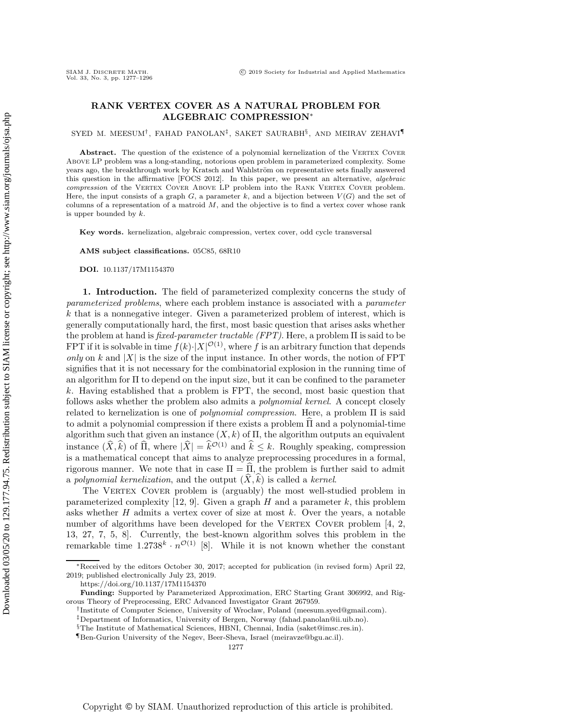## **RANK VERTEX COVER AS A NATURAL PROBLEM FOR ALGEBRAIC COMPRESSION**∗

SYED M. MEESUM†, FAHAD PANOLAN‡, SAKET SAURABH§, AND MEIRAV ZEHAVI¶

Abstract. The question of the existence of a polynomial kernelization of the VERTEX COVER Above LP problem was a long-standing, notorious open problem in parameterized complexity. Some years ago, the breakthrough work by Kratsch and Wahlström on representative sets finally answered this question in the affirmative [FOCS 2012]. In this paper, we present an alternative, algebraic compression of the VERTEX COVER ABOVE LP problem into the RANK VERTEX COVER problem. Here, the input consists of a graph  $G$ , a parameter  $k$ , and a bijection between  $V(G)$  and the set of columns of a representation of a matroid *M*, and the objective is to find a vertex cover whose rank is upper bounded by *k*.

**Key words.** kernelization, algebraic compression, vertex cover, odd cycle transversal

**AMS subject classifications.** 05C85, 68R10

**DOI.** 10.1137/17M1154370

**1. Introduction.** The field of parameterized complexity concerns the study of *parameterized problems*, where each problem instance is associated with a *parameter* k that is a nonnegative integer. Given a parameterized problem of interest, which is generally computationally hard, the first, most basic question that arises asks whether the problem at hand is *fixed-parameter tractable (FPT)*. Here, a problem Π is said to be FPT if it is solvable in time  $f(k) \cdot |X|^{O(1)}$ , where f is an arbitrary function that depends<br>only on k and |X| is the size of the input instance. In other words, the notion of FPT *only* on k and  $|X|$  is the size of the input instance. In other words, the notion of FPT signifies that it is not necessary for the combinatorial explosion in the running time of an algorithm for Π to depend on the input size, but it can be confined to the parameter k. Having established that a problem is FPT, the second, most basic question that follows asks whether the problem also admits a *polynomial kernel*. A concept closely related to kernelization is one of *polynomial compression*. Here, a problem Π is said to admit a polynomial compression if there exists a problem  $\Pi$  and a polynomial-time algorithm such that given an instance  $(X, k)$  of  $\Pi$ , the algorithm outputs an equivalent instance  $(\hat{X}, \hat{k})$  of  $\hat{\Pi}$ , where  $|\hat{X}| = \hat{k}^{\mathcal{O}(1)}$  and  $\hat{k} \leq k$ . Roughly speaking, compression<br>is a mathematical concent that aims to analyze preprocessing procedures in a formal is a mathematical concept that aims to analyze preprocessing procedures in a formal, rigorous manner. We note that in case  $\Pi = \Pi,$  the problem is further said to admit a *polynomial kernelization*, and the output  $(X, k)$  is called a *kernel*.<br>The VERTEX COVER problem is (arguably) the most well-sting

The VERTEX COVER problem is (arguably) the most well-studied problem in parameterized complexity [\[12,](#page-19-0) [9\]](#page-18-0). Given a graph H and a parameter k, this problem asks whether  $H$  admits a vertex cover of size at most  $k$ . Over the years, a notable number of algorithms have been developed for the VERTEX COVER problem  $[4, 2, 3]$  $[4, 2, 3]$  $[4, 2, 3]$ [13,](#page-19-1) [27,](#page-19-2) [7,](#page-18-3) [5,](#page-18-4) [8\]](#page-18-5). Currently, the best-known algorithm solves this problem in the remarkable time  $1.2738^k \cdot n^{\mathcal{O}(1)}$  [\[8\]](#page-18-5). While it is not known whether the constant

<sup>∗</sup>Received by the editors October 30, 2017; accepted for publication (in revised form) April 22, 2019; published electronically July 23, 2019.

<https://doi.org/10.1137/17M1154370>

**Funding:** Supported by Parameterized Approximation, ERC Starting Grant 306992, and Rigorous Theory of Preprocessing, ERC Advanced Investigator Grant 267959.

<sup>†</sup>Institute of Computer Science, University of Wroclaw, Poland [\(meesum.syed@gmail.com\)](mailto:meesum.syed@gmail.com).

<sup>‡</sup>Department of Informatics, University of Bergen, Norway [\(fahad.panolan@ii.uib.no\)](mailto:fahad.panolan@ii.uib.no).

<sup>§</sup>The Institute of Mathematical Sciences, HBNI, Chennai, India [\(saket@imsc.res.in\)](mailto:saket@imsc.res.in).

<sup>¶</sup>Ben-Gurion University of the Negev, Beer-Sheva, Israel [\(meiravze@bgu.ac.il\)](mailto:meiravze@bgu.ac.il).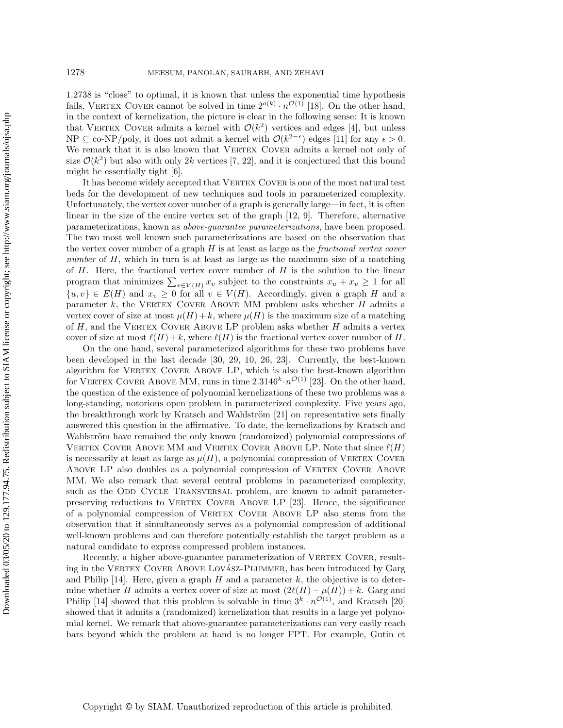1.2738 is "close" to optimal, it is known that unless the exponential time hypothesis fails, VERTEX COVER cannot be solved in time  $2^{o(k)} \cdot n^{\mathcal{O}(1)}$  [\[18\]](#page-19-3). On the other hand, in the context of kernelization, the picture is clear in the following sense: It is known that VERTEX COVER admits a kernel with  $\mathcal{O}(k^2)$  vertices and edges [\[4\]](#page-18-1), but unless NP  $\subseteq$  co-NP/poly, it does not admit a kernel with  $\mathcal{O}(k^{2-\epsilon})$  edges [\[11\]](#page-19-4) for any  $\epsilon > 0$ .<br>We remark that it is also known that VERTEY COVER admits a kernel not only of We remark that it is also known that VERTEX COVER admits a kernel not only of size  $\mathcal{O}(k^2)$  but also with only 2k vertices [\[7,](#page-18-3) [22\]](#page-19-5), and it is conjectured that this bound might be essentially tight [\[6\]](#page-18-6).

It has become widely accepted that VERTEX COVER is one of the most natural test beds for the development of new techniques and tools in parameterized complexity. Unfortunately, the vertex cover number of a graph is generally large—in fact, it is often linear in the size of the entire vertex set of the graph [\[12,](#page-19-0) [9\]](#page-18-0). Therefore, alternative parameterizations, known as *above-guarantee parameterizations*, have been proposed. The two most well known such parameterizations are based on the observation that the vertex cover number of a graph H is at least as large as the *fractional vertex cover number* of H, which in turn is at least as large as the maximum size of a matching of  $H$ . Here, the fractional vertex cover number of  $H$  is the solution to the linear program that minimizes  $\sum_{v \in V(H)} x_v$  subject to the constraints  $x_u + x_v \ge 1$  for all<br> $\{w, w\} \in F(H)$  and  $x_v > 0$  for all  $w \in V(H)$ . Accordingly, given a graph H and a  $\{u, v\} \in E(H)$  and  $x_v \geq 0$  for all  $v \in V(H)$ . Accordingly, given a graph H and a parameter k, the VERTEX COVER ABOVE MM problem asks whether  $H$  admits a vertex cover of size at most  $\mu(H) + k$ , where  $\mu(H)$  is the maximum size of a matching of  $H$ , and the VERTEX COVER ABOVE LP problem asks whether  $H$  admits a vertex cover of size at most  $\ell(H) + k$ , where  $\ell(H)$  is the fractional vertex cover number of H.

On the one hand, several parameterized algorithms for these two problems have been developed in the last decade [\[30,](#page-19-6) [29,](#page-19-7) [10,](#page-19-8) [26,](#page-19-9) [23\]](#page-19-10). Currently, the best-known algorithm for VERTEX COVER ABOVE LP, which is also the best-known algorithm for VERTEX COVER ABOVE MM, runs in time  $2.3146^{k} \cdot n^{\mathcal{O}(1)}$  [\[23\]](#page-19-10). On the other hand, the question of the existence of polynomial kernelizations of these two problems was a long-standing, notorious open problem in parameterized complexity. Five years ago, the breakthrough work by Kratsch and Wahlström  $[21]$  on representative sets finally answered this question in the affirmative. To date, the kernelizations by Kratsch and Wahlström have remained the only known (randomized) polynomial compressions of VERTEX COVER ABOVE MM and VERTEX COVER ABOVE LP. Note that since  $\ell(H)$ is necessarily at least as large as  $\mu(H)$ , a polynomial compression of VERTEX COVER ABOVE LP also doubles as a polynomial compression of VERTEX COVER ABOVE MM. We also remark that several central problems in parameterized complexity, such as the ODD CYCLE TRANSVERSAL problem, are known to admit parameter-preserving reductions to VERTEX COVER ABOVE LP [\[23\]](#page-19-10). Hence, the significance of a polynomial compression of Vertex Cover Above LP also stems from the observation that it simultaneously serves as a polynomial compression of additional well-known problems and can therefore potentially establish the target problem as a natural candidate to express compressed problem instances.

Recently, a higher above-guarantee parameterization of VERTEX COVER, resulting in the VERTEX COVER ABOVE LOVÁSZ-PLUMMER, has been introduced by Garg and Philip  $[14]$ . Here, given a graph H and a parameter k, the objective is to determine whether H admits a vertex cover of size at most  $(2\ell(H) - \mu(H)) + k$ . Garg and Philip [\[14\]](#page-19-12) showed that this problem is solvable in time  $3^k \cdot n^{\mathcal{O}(1)}$ , and Kratsch [\[20\]](#page-19-13) showed that it admits a (randomized) kernelization that results in a large yet polynomial kernel. We remark that above-guarantee parameterizations can very easily reach bars beyond which the problem at hand is no longer FPT. For example, Gutin et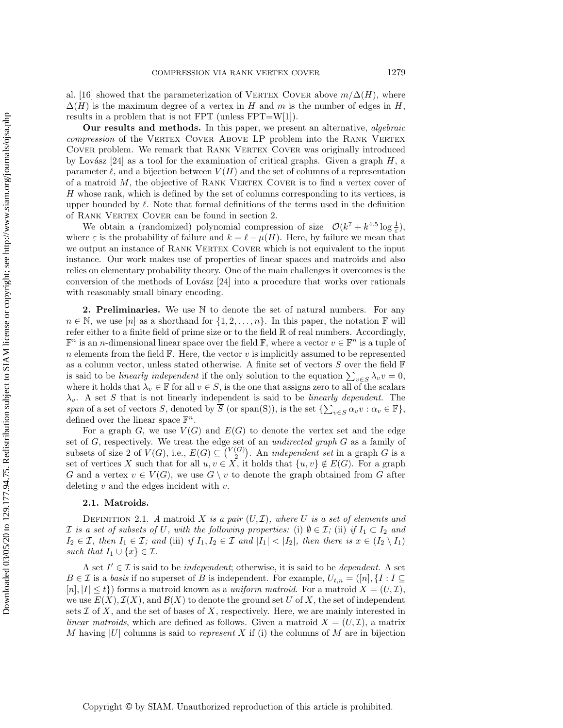al. [\[16\]](#page-19-14) showed that the parameterization of VERTEX COVER above  $m/\Delta(H)$ , where  $\Delta(H)$  is the maximum degree of a vertex in H and m is the number of edges in H, results in a problem that is not FPT (unless  $FPT=W[1]$ ).

**Our results and methods.** In this paper, we present an alternative, *algebraic compression* of the VERTEX COVER ABOVE LP problem into the RANK VERTEX COVER problem. We remark that RANK VERTEX COVER was originally introduced by Lovász [\[24\]](#page-19-15) as a tool for the examination of critical graphs. Given a graph  $H$ , a parameter  $\ell$ , and a bijection between  $V(H)$  and the set of columns of a representation of a matroid  $M$ , the objective of RANK VERTEX COVER is to find a vertex cover of H whose rank, which is defined by the set of columns corresponding to its vertices, is upper bounded by  $\ell$ . Note that formal definitions of the terms used in the definition of RANK VERTEX COVER can be found in section [2.](#page-2-0)

We obtain a (randomized) polynomial compression of size  $\mathcal{O}(k^7 + k^{4.5} \log \frac{1}{\varepsilon})$ , where  $\varepsilon$  is the probability of failure and  $k = \ell - \mu(H)$ . Here, by failure we mean that we output an instance of RANK VERTEX COVER which is not equivalent to the input instance. Our work makes use of properties of linear spaces and matroids and also relies on elementary probability theory. One of the main challenges it overcomes is the conversion of the methods of Lovász  $[24]$  into a procedure that works over rationals with reasonably small binary encoding.

<span id="page-2-0"></span>**2. Preliminaries.** We use  $\mathbb N$  to denote the set of natural numbers. For any  $n \in \mathbb{N}$ , we use  $[n]$  as a shorthand for  $\{1, 2, \ldots, n\}$ . In this paper, the notation F will refer either to a finite field of prime size or to the field R of real numbers. Accordingly,  $\mathbb{F}^n$  is an *n*-dimensional linear space over the field  $\mathbb{F}$ , where a vector  $v \in \mathbb{F}^n$  is a tuple of n elements from the field  $\mathbb F$ . Here, the vector v is implicitly assumed to be represented as a column vector, unless stated otherwise. A finite set of vectors  $S$  over the field  $\mathbb F$ is said to be *linearly independent* if the only solution to the equation  $\sum_{v \in S} \lambda_v v = 0$ , where it holds that  $\lambda_v \in \mathbb{F}$  for all  $v \in S$ , is the one that assigns zero to all of the scalars  $\lambda_v$ . A set S that is not linearly independent is said to be *linearly dependent*. The *span* of a set of vectors S, denoted by  $\overline{S}$  (or span(S)), is the set  $\{\sum_{v \in S} \alpha_v v : \alpha_v \in \mathbb{F}\},$ <br>defined over the linear space  $\mathbb{F}^n$ defined over the linear space  $\mathbb{F}^n$ .

For a graph G, we use  $V(G)$  and  $E(G)$  to denote the vertex set and the edge set of G, respectively. We treat the edge set of an *undirected graph* G as a family of subsets of size 2 of  $V(G)$  i.e.  $E(G) \subset {V(G)}$ . An *independent set* in a graph G is a subsets of size 2 of  $V(G)$ , i.e.,  $E(G) \subseteq {V(G) \choose 2}$ . An *independent set* in a graph G is a<br>set of vertices X such that for all  $u, v \in X$  it holds that  $f u, v \notin E(G)$ . For a graph set of vertices X such that for all  $u, v \in X$ , it holds that  $\{u, v\} \notin E(G)$ . For a graph  $G$  and a vertex  $v \in V(G)$ , we use  $G \setminus v$  to denote the graph obtained from  $G$  after G and a vertex  $v \in V(G)$ , we use  $G \setminus v$  to denote the graph obtained from G after deleting  $v$  and the edges incident with  $v$ .

## **2.1. Matroids.**

DEFINITION 2.1. *A* matroid *X is a pair*  $(U,\mathcal{I})$ *, where U is a set of elements and*  $\mathcal I$  *is a set of subsets of* U, with the following properties: (i)  $\emptyset \in \mathcal I$ *;* (ii) *if*  $I_1 \subset I_2$  *and*  $I_2 \in \mathcal{I}$ , then  $I_1 \in \mathcal{I}$ ; and (iii) if  $I_1, I_2 \in \mathcal{I}$  and  $|I_1| < |I_2|$ , then there is  $x \in (I_2 \setminus I_1)$ *such that*  $I_1 \cup \{x\} \in \mathcal{I}$ *.* 

A set  $I' \in \mathcal{I}$  is said to be *independent*; otherwise, it is said to be *dependent*. A set  $B \in \mathcal{I}$  is a *basis* if no superset of B is independent. For example,  $U_{t,n} = ([n], \{I : I \subseteq$  $[n], |I| \leq t$  forms a matroid known as a *uniform matroid*. For a matroid  $X = (U, \mathcal{I}),$ we use  $E(X)$ ,  $\mathcal{I}(X)$ , and  $\mathcal{B}(X)$  to denote the ground set U of X, the set of independent sets  $\mathcal I$  of  $X$ , and the set of bases of  $X$ , respectively. Here, we are mainly interested in *linear matroids*, which are defined as follows. Given a matroid  $X = (U, \mathcal{I})$ , a matrix M having <sup>|</sup>U<sup>|</sup> columns is said to *represent* X if (i) the columns of M are in bijection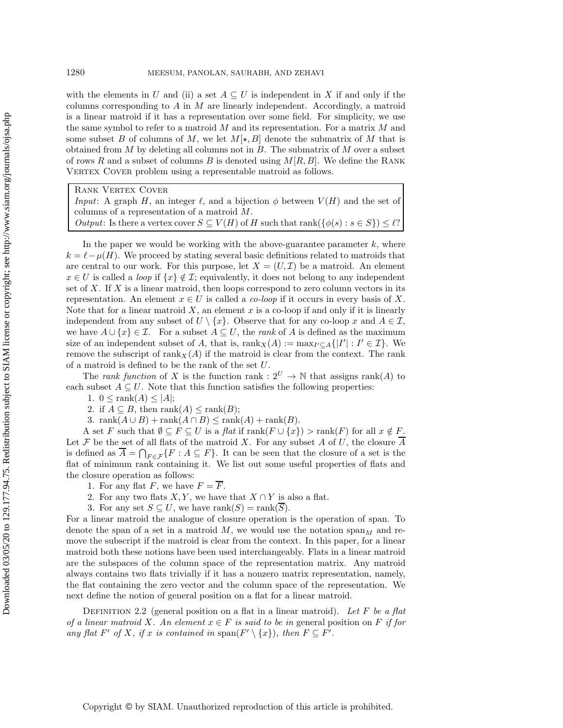with the elements in U and (ii) a set  $A \subseteq U$  is independent in X if and only if the columns corresponding to A in M are linearly independent. Accordingly, a matroid is a linear matroid if it has a representation over some field. For simplicity, we use the same symbol to refer to a matroid  $M$  and its representation. For a matrix  $M$  and some subset B of columns of M, we let  $M[\star, B]$  denote the submatrix of M that is obtained from  $M$  by deleting all columns not in  $B$ . The submatrix of  $M$  over a subset of rows R and a subset of columns B is denoted using  $M[R, B]$ . We define the RANK VERTEX COVER problem using a representable matroid as follows.

Rank Vertex Cover

*Input*: A graph H, an integer  $\ell$ , and a bijection  $\phi$  between  $V(H)$  and the set of columns of a representation of a matroid M.

*Output*: Is there a vertex cover  $S \subseteq V(H)$  of H such that rank $({\phi(s): s \in S}) \leq \ell$ ?

In the paper we would be working with the above-guarantee parameter  $k$ , where  $k = \ell - \mu(H)$ . We proceed by stating several basic definitions related to matroids that are central to our work. For this purpose, let  $X = (U, \mathcal{I})$  be a matroid. An element  $x \in U$  is called a *loop* if  $\{x\} \notin \mathcal{I}$ ; equivalently, it does not belong to any independent set of  $X$ . If  $X$  is a linear matroid, then loops correspond to zero column vectors in its representation. An element  $x \in U$  is called a *co-loop* if it occurs in every basis of X. Note that for a linear matroid  $X$ , an element  $x$  is a co-loop if and only if it is linearly independent from any subset of  $U \setminus \{x\}$ . Observe that for any co-loop x and  $A \in \mathcal{I}$ , we have  $A \cup \{x\} \in \mathcal{I}$ . For a subset  $A \subseteq U$ , the *rank* of A is defined as the maximum size of an independent subset of A, that is,  $\text{rank}_X(A) := \max_{I' \subseteq A} \{ |I'| : I' \in \mathcal{I} \}$ . We<br>remove the subscript of  $\text{rank}_X(A)$  if the matroid is clear from the context. The rank remove the subscript of  $\text{rank}_X(A)$  if the matroid is clear from the context. The rank of a matroid is defined to be the rank of the set U.

The *rank function* of X is the function rank :  $2^U \rightarrow \mathbb{N}$  that assigns rank(A) to each subset  $A \subseteq U$ . Note that this function satisfies the following properties:

1.  $0 \leq \text{rank}(A) \leq |A|$ ;

2. if  $A \subseteq B$ , then rank $(A) \leq \text{rank}(B)$ ;

3. rank $(A \cup B)$  + rank $(A \cap B)$  ≤ rank $(A)$  + rank $(B)$ .

A set F such that  $\emptyset \subseteq F \subseteq U$  is a flat if  $\text{rank}(F \cup \{x\}) > \text{rank}(F)$  for all  $x \notin F$ . Let  $\mathcal F$  be the set of all flats of the matroid X. For any subset A of U, the closure A is defined as  $\overline{A} = \bigcap_{F \in \mathcal{F}} \{F : A \subseteq F\}$ . It can be seen that the closure of a set is the flat of minimum rank containing it. We list out some useful properties of flats and flat of minimum rank containing it. We list out some useful properties of flats and the closure operation as follows:

1. For any flat F, we have  $F = \overline{F}$ .

2. For any two flats  $X, Y$ , we have that  $X \cap Y$  is also a flat.

3. For any set  $S \subseteq U$ , we have rank $(S) = \text{rank}(\overline{S})$ .

For a linear matroid the analogue of closure operation is the operation of span. To denote the span of a set in a matroid M, we would use the notation  $\text{span}_M$  and remove the subscript if the matroid is clear from the context. In this paper, for a linear matroid both these notions have been used interchangeably. Flats in a linear matroid are the subspaces of the column space of the representation matrix. Any matroid always contains two flats trivially if it has a nonzero matrix representation, namely, the flat containing the zero vector and the column space of the representation. We next define the notion of general position on a flat for a linear matroid.

<span id="page-3-0"></span>Definition 2.2 (general position on a flat in a linear matroid). *Let* F *be a flat of a linear matroid* X. An element  $x \in F$  *is said to be in* general position on F *if for any flat*  $F'$  *of*  $X$ *, if*  $x$  *is contained in* span $(F' \setminus \{x\})$ *, then*  $F \subseteq F'$ *.*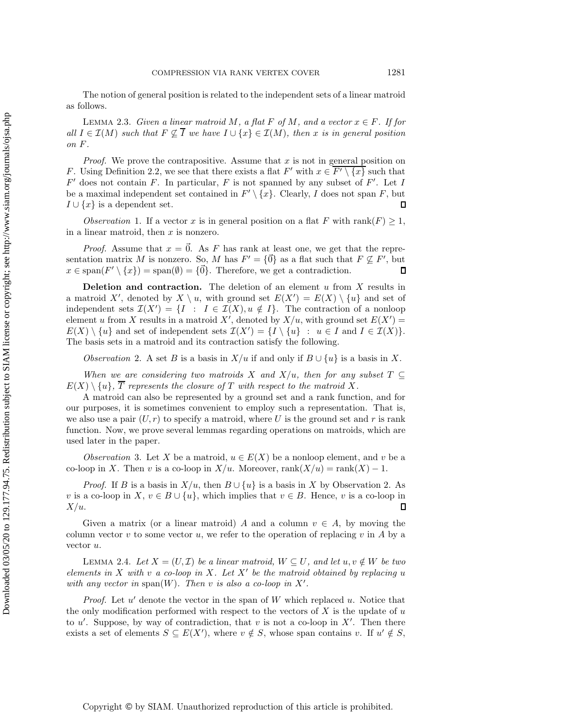<span id="page-4-4"></span>The notion of general position is related to the independent sets of a linear matroid as follows.

LEMMA 2.3. *Given a linear matroid* M, a flat F of M, and a vector  $x \in F$ . If for *all*  $I \in \mathcal{I}(M)$  *such that*  $F \nsubseteq I$  *we have*  $I \cup \{x\} \in \mathcal{I}(M)$ *, then* x *is in general position on* F*.*

*Proof.* We prove the contrapositive. Assume that  $x$  is not in general position on F. Using Definition [2.2,](#page-3-0) we see that there exists a flat  $F'$  with  $x \in F' \setminus \{x\}$  such that  $F'$  does not contain F. In particular, F is not spanned by any subset of F'. Let I be a maximal independent set contained in  $F' \setminus \{x\}$ . Clearly, I does not span F, but  $I \cup \{x\}$  is a dependent set.  $I \cup \{x\}$  is a dependent set.

<span id="page-4-2"></span>*Observation* 1. If a vector x is in general position on a flat F with rank $(F) \geq 1$ , in a linear matroid, then  $x$  is nonzero.

*Proof.* Assume that  $x = \overline{0}$ . As F has rank at least one, we get that the representation matrix M is nonzero. So, M has  $F' = {\vec{0}}$  as a flat such that  $F \nsubseteq F'$ , but  $x \in \text{span}(F' \setminus \{x\}) = \text{span}(\emptyset) = \{ \vec{0} \}$ . Therefore, we get a contradiction  $x \in \text{span}(F' \setminus \{x\}) = \text{span}(\emptyset) = \{\vec{0}\}.$  Therefore, we get a contradiction.  $\mathsf{\Pi}$ 

**Deletion and contraction.** The deletion of an element  $u$  from  $X$  results in a matroid X', denoted by  $X \setminus u$ , with ground set  $E(X') = E(X) \setminus \{u\}$  and set of independent sets  $\mathcal{T}(X') = I \cup I \subseteq \mathcal{T}(X)$   $u \notin I$ . The contraction of a poploon independent sets  $\mathcal{I}(X') = \{I : I \in \mathcal{I}(X), u \notin I\}$ . The contraction of a nonloop<br>element u from X results in a matroid X' denoted by  $X/u$  with ground set  $E(X') =$ element u from X results in a matroid X', denoted by  $X/u$ , with ground set  $E(X') = E(X) \setminus \{u\}$  and set of independent sets  $\mathcal{T}(X') = \{I\} \setminus \{u\}$   $\mapsto u \in I$  and  $I \in \mathcal{T}(X)$  $E(X) \setminus \{u\}$  and set of independent sets  $\mathcal{I}(X') = \{I \setminus \{u\} : u \in I \text{ and } I \in \mathcal{I}(X)\}.$ <br>The basis sets in a matroid and its contraction satisfy the following The basis sets in a matroid and its contraction satisfy the following.

<span id="page-4-0"></span>*Observation* 2. A set B is a basis in  $X/u$  if and only if  $B \cup \{u\}$  is a basis in X.

*When we are considering two matroids* X and  $X/u$ *, then for any subset*  $T \subseteq$  $E(X) \setminus \{u\}, \overline{T}$  represents the closure of T with respect to the matroid X.

A matroid can also be represented by a ground set and a rank function, and for our purposes, it is sometimes convenient to employ such a representation. That is, we also use a pair  $(U, r)$  to specify a matroid, where U is the ground set and r is rank function. Now, we prove several lemmas regarding operations on matroids, which are used later in the paper.

<span id="page-4-3"></span>*Observation* 3. Let X be a matroid,  $u \in E(X)$  be a nonloop element, and v be a co-loop in X. Then v is a co-loop in  $X/u$ . Moreover,  $rank(X/u) = rank(X) - 1$ .

*Proof.* If B is a basis in  $X/u$ , then  $B \cup \{u\}$  is a basis in X by Observation [2.](#page-4-0) As v is a co-loop in X,  $v \in B \cup \{u\}$ , which implies that  $v \in B$ . Hence, v is a co-loop in  $X/u$ .  $X/u$ .

Given a matrix (or a linear matroid) A and a column  $v \in A$ , by moving the column vector v to some vector u, we refer to the operation of replacing v in A by a vector u.

<span id="page-4-1"></span>LEMMA 2.4. Let  $X = (U, \mathcal{I})$  be a linear matroid,  $W \subseteq U$ , and let  $u, v \notin W$  be two *elements in* <sup>X</sup> *with* <sup>v</sup> *a co-loop in* <sup>X</sup>*. Let* <sup>X</sup> *be the matroid obtained by replacing* u with any vector in span $(W)$ . Then v is also a co-loop in X'.

*Proof.* Let  $u'$  denote the vector in the span of W which replaced  $u$ . Notice that the only modification performed with respect to the vectors of  $X$  is the update of  $u$ to u'. Suppose, by way of contradiction, that v is not a co-loop in X'. Then there exists a set of elements  $S \subseteq E(X')$  where  $v \notin S$  whose span contains  $v$ . If  $u' \notin S$ exists a set of elements  $S \subseteq E(X')$ , where  $v \notin S$ , whose span contains v. If  $u' \notin S$ ,

Downloaded 03/05/20 to 129.177.94.75. Redistribution subject to SIAM license or copyright; see http://www.siam.org/journals/ojsa.php Downloaded 03/05/20 to 129.177.94.75. Redistribution subject to SIAM license or copyright; see http://www.siam.org/journals/ojsa.php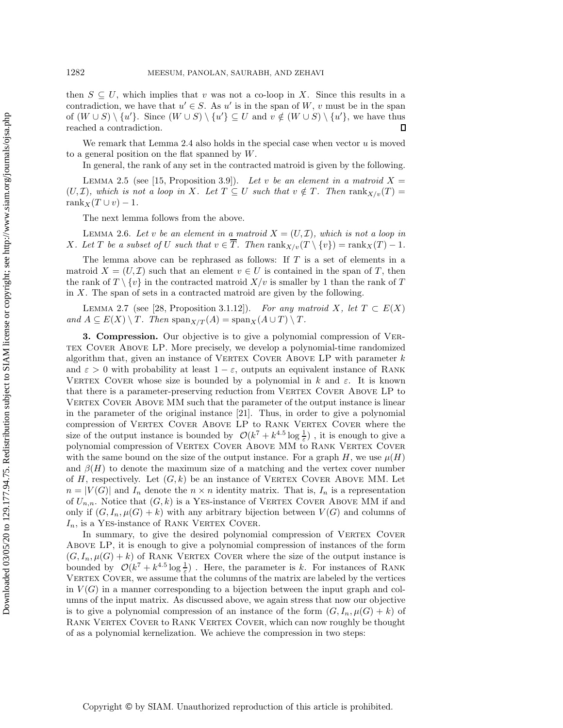then  $S \subseteq U$ , which implies that v was not a co-loop in X. Since this results in a contradiction, we have that  $u' \in S$ . As u' is in the span of W, v must be in the span of  $(W \cup S) \setminus \{u'\}$ . Since  $(W \cup S) \setminus \{u'\} \subseteq U$  and  $v \notin (W \cup S) \setminus \{u'\}$ , we have thus reached a contradiction. П

We remark that Lemma [2.4](#page-4-1) also holds in the special case when vector  $u$  is moved to a general position on the flat spanned by W.

In general, the rank of any set in the contracted matroid is given by the following.

<span id="page-5-2"></span>LEMMA 2.5 (see [\[15,](#page-19-16) Proposition 3.9]). Let v be an element in a matroid  $X =$  $(U, \mathcal{I})$ *, which is not a loop in X. Let*  $T \subseteq U$  *such that*  $v \notin T$ *. Then*  $\text{rank}_{X/v}(T) =$ rank $X(T \cup v) - 1$ .

The next lemma follows from the above.

<span id="page-5-0"></span>LEMMA 2.6. Let v be an element in a matroid  $X = (U, \mathcal{I})$ , which is not a loop in X. Let T be a subset of U such that  $v \in \overline{T}$ . Then  $\text{rank}_{X/v}(T \setminus \{v\}) = \text{rank}_X(T) - 1$ .

The lemma above can be rephrased as follows: If  $T$  is a set of elements in a matroid  $X = (U, \mathcal{I})$  such that an element  $v \in U$  is contained in the span of T, then the rank of  $T \setminus \{v\}$  in the contracted matroid  $X/v$  is smaller by 1 than the rank of T in  $X$ . The span of sets in a contracted matroid are given by the following.

<span id="page-5-1"></span>LEMMA 2.7 (see [\[28,](#page-19-17) Proposition 3.1.12]). *For any matroid* X, let  $T \subset E(X)$ *and*  $A \subseteq E(X) \setminus T$ *. Then*  $\text{span}_{X/T}(A) = \text{span}_X(A \cup T) \setminus T$ *.* 

**3. Compression.** Our objective is to give a polynomial compression of VER-TEX COVER ABOVE LP. More precisely, we develop a polynomial-time randomized algorithm that, given an instance of VERTEX COVER ABOVE LP with parameter  $k$ and  $\varepsilon > 0$  with probability at least  $1 - \varepsilon$ , outputs an equivalent instance of RANK VERTEX COVER whose size is bounded by a polynomial in k and  $\varepsilon$ . It is known that there is a parameter-preserving reduction from VERTEX COVER ABOVE LP to VERTEX COVER ABOVE MM such that the parameter of the output instance is linear in the parameter of the original instance [\[21\]](#page-19-11). Thus, in order to give a polynomial compression of VERTEX COVER ABOVE LP to RANK VERTEX COVER where the size of the output instance is bounded by  $\mathcal{O}(k^7 + k^{4.5} \log \frac{1}{\varepsilon})$ , it is enough to give a<br>polynomial compression of VERTEY COVER ABOVE MM to BANK VERTEY COVER polynomial compression of Vertex Cover Above MM to Rank Vertex Cover with the same bound on the size of the output instance. For a graph H, we use  $\mu(H)$ and  $\beta(H)$  to denote the maximum size of a matching and the vertex cover number of H, respectively. Let  $(G, k)$  be an instance of VERTEX COVER ABOVE MM. Let  $n = |V(G)|$  and  $I_n$  denote the  $n \times n$  identity matrix. That is,  $I_n$  is a representation of  $U_{n,n}$ . Notice that  $(G, k)$  is a YES-instance of VERTEX COVER ABOVE MM if and only if  $(G, I_n, \mu(G) + k)$  with any arbitrary bijection between  $V(G)$  and columns of  $I_n$ , is a YES-instance of RANK VERTEX COVER.

In summary, to give the desired polynomial compression of VERTEX COVER Above LP, it is enough to give a polynomial compression of instances of the form  $(G, I_n, \mu(G) + k)$  of RANK VERTEX COVER where the size of the output instance is bounded by  $\mathcal{O}(k^7 + k^{4.5} \log \frac{1}{\varepsilon})$ . Here, the parameter is k. For instances of RANK VERTEX COVER, we assume that the columns of the matrix are labeled by the vertices in  $V(G)$  in a manner corresponding to a bijection between the input graph and columns of the input matrix. As discussed above, we again stress that now our objective is to give a polynomial compression of an instance of the form  $(G, I_n, \mu(G) + k)$  of Rank Vertex Cover to Rank Vertex Cover, which can now roughly be thought of as a polynomial kernelization. We achieve the compression in two steps: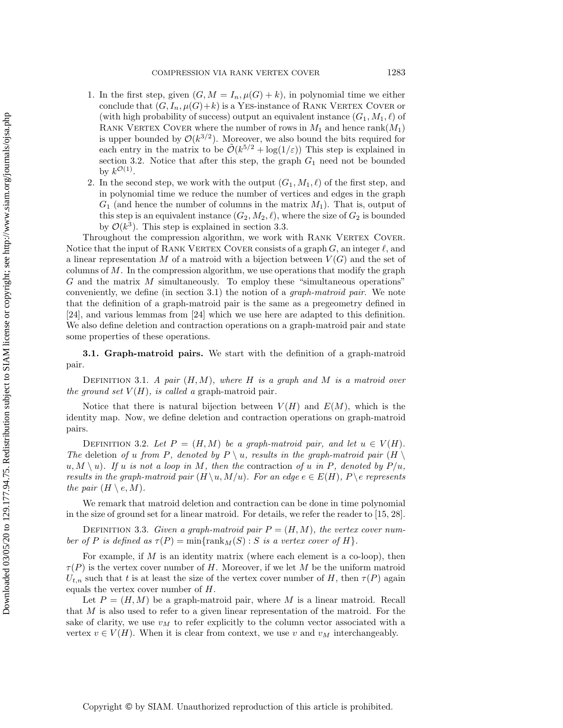- 1. In the first step, given  $(G, M = I_n, \mu(G) + k)$ , in polynomial time we either conclude that  $(G, I_n, \mu(G)+k)$  is a YES-instance of RANK VERTEX COVER or (with high probability of success) output an equivalent instance  $(G_1, M_1, \ell)$  of RANK VERTEX COVER where the number of rows in  $M_1$  and hence rank $(M_1)$ is upper bounded by  $\mathcal{O}(k^{3/2})$ . Moreover, we also bound the bits required for each entry in the matrix to be  $\tilde{\mathcal{O}}(k^{5/2} + \log(1/\varepsilon))$  This step is explained in section [3.2.](#page-8-0) Notice that after this step, the graph  $G_1$  need not be bounded by  $k^{\mathcal{O}(1)}$ .
- 2. In the second step, we work with the output  $(G_1, M_1, \ell)$  of the first step, and in polynomial time we reduce the number of vertices and edges in the graph  $G_1$  (and hence the number of columns in the matrix  $M_1$ ). That is, output of this step is an equivalent instance  $(G_2, M_2, \ell)$ , where the size of  $G_2$  is bounded by  $\mathcal{O}(k^3)$ . This step is explained in section [3.3.](#page-15-0)

Throughout the compression algorithm, we work with RANK VERTEX COVER. Notice that the input of RANK VERTEX COVER consists of a graph  $G$ , an integer  $\ell$ , and a linear representation M of a matroid with a bijection between  $V(G)$  and the set of columns of  $M$ . In the compression algorithm, we use operations that modify the graph G and the matrix M simultaneously. To employ these "simultaneous operations" conveniently, we define (in section [3.1\)](#page-6-0) the notion of a *graph-matroid pair*. We note that the definition of a graph-matroid pair is the same as a pregeometry defined in [\[24\]](#page-19-15), and various lemmas from [\[24\]](#page-19-15) which we use here are adapted to this definition. We also define deletion and contraction operations on a graph-matroid pair and state some properties of these operations.

<span id="page-6-0"></span>**3.1. Graph-matroid pairs.** We start with the definition of a graph-matroid pair.

Definition 3.1. *A pair* (H,M)*, where* H *is a graph and* M *is a matroid over the ground set*  $V(H)$ *, is called a* graph-matroid pair.

Notice that there is natural bijection between  $V(H)$  and  $E(M)$ , which is the identity map. Now, we define deletion and contraction operations on graph-matroid pairs.

DEFINITION 3.2. Let  $P = (H, M)$  be a graph-matroid pair, and let  $u \in V(H)$ . *The* deletion of *u* from P, denoted by  $P \setminus u$ , results in the graph-matroid pair  $(H \setminus u)$  $u, M \setminus u$ ). If u is not a loop in M, then the contraction of u in P, denoted by  $P/u$ , *results in the graph-matroid pair*  $(H \setminus u, M/u)$ *. For an edge*  $e \in E(H)$ *, P \e represents the pair*  $(H \setminus e, M)$ *.* 

We remark that matroid deletion and contraction can be done in time polynomial in the size of ground set for a linear matroid. For details, we refer the reader to [\[15,](#page-19-16) [28\]](#page-19-17).

DEFINITION 3.3. *Given a graph-matroid pair*  $P = (H, M)$ *, the vertex cover number of P is defined as*  $\tau(P) = \min\{\text{rank}_M(S) : S \text{ is a vertex cover of } H\}.$ 

For example, if  $M$  is an identity matrix (where each element is a co-loop), then  $\tau(P)$  is the vertex cover number of H. Moreover, if we let M be the uniform matroid  $U_{t,n}$  such that t is at least the size of the vertex cover number of H, then  $\tau(P)$  again equals the vertex cover number of H.

<span id="page-6-1"></span>Let  $P = (H, M)$  be a graph-matroid pair, where M is a linear matroid. Recall that  $M$  is also used to refer to a given linear representation of the matroid. For the sake of clarity, we use  $v_M$  to refer explicitly to the column vector associated with a vertex  $v \in V(H)$ . When it is clear from context, we use v and  $v_M$  interchangeably.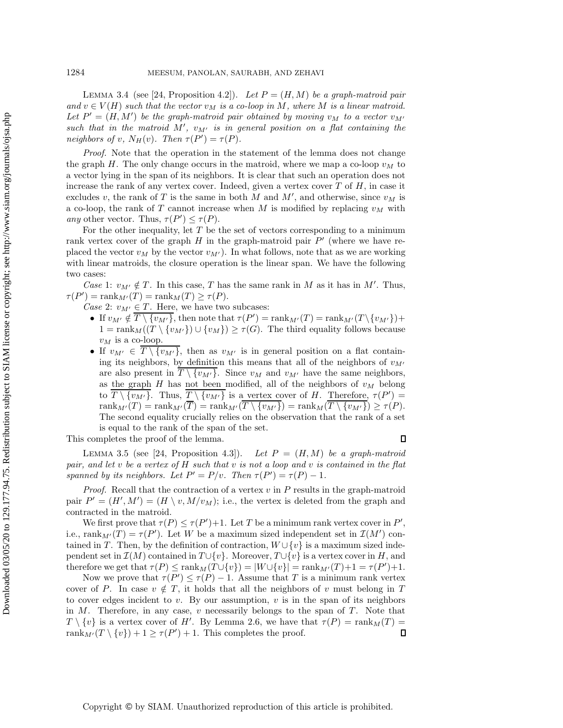LEMMA 3.4 (see [\[24,](#page-19-15) Proposition 4.2]). Let  $P = (H, M)$  be a graph-matroid pair  $and v \in V(H)$  *such that the vector*  $v_M$  *is a co-loop in* M, where M *is a linear matroid.* Let  $P' = (H, M')$  be the graph-matroid pair obtained by moving  $v_M$  to a vector  $v_M$ ,<br>such that in the matroid  $M'$ ,  $v_M$  is in general position on a flat containing the such that in the matroid  $M'$ ,  $v_{M'}$  is in general position on a flat containing the<br>neighbors of  $v_{M}(v)$ . Then  $\tau(P') - \tau(P)$ *neighbors of* v,  $N_H(v)$ *. Then*  $\tau(P') = \tau(P)$ *.* 

*Proof.* Note that the operation in the statement of the lemma does not change the graph H. The only change occurs in the matroid, where we map a co-loop  $v_M$  to a vector lying in the span of its neighbors. It is clear that such an operation does not increase the rank of any vertex cover. Indeed, given a vertex cover  $T$  of  $H$ , in case it excludes v, the rank of T is the same in both M and M', and otherwise, since  $v_M$  is<br>a co-loop, the rank of T cannot increase when M is modified by replacing  $v_M$  with a co-loop, the rank of  $T$  cannot increase when  $M$  is modified by replacing  $v_M$  with *any* other vector. Thus,  $\tau(P') \leq \tau(P)$ .<br>For the other inequality let T be t

For the other inequality, let  $T$  be the set of vectors corresponding to a minimum rank vertex cover of the graph  $H$  in the graph-matroid pair  $P'$  (where we have replaced the vector  $v_M$  by the vector  $v_M$ ). In what follows, note that as we are working<br>with linear matroids, the closure operation is the linear span. We have the following with linear matroids, the closure operation is the linear span. We have the following two cases:

*Case* 1:  $v_{M'} \notin T$ . In this case, T has the same rank in M as it has in M'. Thus,  $\tau(P') = \text{rank}_{M'}(T) = \text{rank}_{M}(T) \geq \tau(P).$ <br>Case 2:  $\eta_{M'} \in T$  Here we have two

Case 2:  $v_{M'} \in T$ . Here, we have two subcases:<br> **•** If  $v_{M'} \notin T \setminus f_{M'}$  then note that  $\tau(P')$ 

- If  $v_{M'} \notin \overline{T \setminus \{v_{M'}\}}$ , then note that  $\tau(P') = \text{rank}_{M'}(T) = \text{rank}_{M'}(T \setminus \{v_{M'}\}) +$ <br>1 = rank $\mathcal{U}(T \setminus \{v_{M'}\}) + \mathcal{U}(T \setminus \{v_{M'}\}) > \tau(G)$ . The third equality follows because  $1 = \text{rank}_M((T \setminus \{v_{M}\}) \cup \{v_M\}) \ge \tau(G)$ . The third equality follows because  $v_M$  is a co-loop.
- If  $v_{M'} \in T \setminus \{v_{M'}\}$ , then as  $v_{M'}$  is in general position on a flat contain-<br>ing its neighbors, by definition this means that all of the neighbors of  $v_{M'}$ ing its neighbors, by definition this means that all of the neighbors of  $v_M$ are also present in  $T \setminus \{v_{M'}\}$ . Since  $v_M$  and  $v_{M'}$  have the same neighbors,<br>as the graph H has not been modified all of the neighbors of  $v_M$  belong as the graph  $H$  has not been modified, all of the neighbors of  $v_M$  belong to  $\overline{T \setminus \{v_{M'}\}}$ . Thus,  $\overline{T \setminus \{v_{M'}\}}$  is a vertex cover of H. Therefore,  $\tau(P') = \text{rank}_{M}(T) - \text{rank}_{M}(T \setminus \{v_{M'}\}) - \text{rank}_{M}(T \setminus \{v_{M'}\}) \geq \tau(P)$  $\text{rank}_{M'}(T) = \text{rank}_{M'}(T) = \text{rank}_{M'}(T \setminus \{v_{M'}\}) = \text{rank}_{M}(T \setminus \{v_{M'}\}) \ge \tau(P).$ <br>The second equality crucially relies on the observation that the rank of a set The second equality crucially relies on the observation that the rank of a set is equal to the rank of the span of the set.

<span id="page-7-0"></span>This completes the proof of the lemma.

 $\Box$ 

LEMMA 3.5 (see [\[24,](#page-19-15) Proposition 4.3]). *Let*  $P = (H, M)$  *be a graph-matroid* and let u be a vertex of H such that u is not a loop and u is contained in the flat *pair, and let* v *be a vertex of* H *such that* v *is not a loop and* v *is contained in the flat*<br>spanned by *its neighbors* Let  $P' = P/v$ . Then  $\tau(P') = \tau(P) = 1$ *spanned by its neighbors. Let*  $P' = P/v$ *. Then*  $\tau(P') = \tau(P) - 1$ *.* 

*Proof.* Recall that the contraction of a vertex  $v$  in  $P$  results in the graph-matroid pair  $P' = (H', M') = (H \setminus v, M/v_M)$ ; i.e., the vertex is deleted from the graph and contracted in the matroid contracted in the matroid.

We first prove that  $\tau(P) \leq \tau(P') + 1$ . Let T be a minimum rank vertex cover in P',<br>rank  $\kappa(T) = \tau(P')$ . Let W be a maximum sized independent set in  $\mathcal{T}(M')$  coni.e.,  $\text{rank}_{M'}(T) = \tau(P')$ . Let W be a maximum sized independent set in  $\mathcal{I}(M')$  con-<br>tained in T. Then, by the definition of contraction  $W^{[+]}(v)$  is a maximum sized indetained in T. Then, by the definition of contraction,  $W \cup \{v\}$  is a maximum sized independent set in  $\mathcal{I}(M)$  contained in  $T\cup \{v\}$ . Moreover,  $T\cup \{v\}$  is a vertex cover in H, and therefore we get that  $\tau(P) \le \text{rank}_M(T \cup \{v\}) = |W \cup \{v\}| = \text{rank}_{M'}(T) + 1 = \tau(P') + 1$ .<br>Now we prove that  $\tau(P') \le \tau(P) - 1$ . Assume that T is a minimum rank vertex

Now we prove that  $\tau(P') \leq \tau(P) - 1$ . Assume that T is a minimum rank vertex<br>r of P. In case  $v \notin T$  it holds that all the neighbors of v must belong in T. cover of P. In case  $v \notin T$ , it holds that all the neighbors of v must belong in T to cover edges incident to  $v$ . By our assumption,  $v$  is in the span of its neighbors in  $M$ . Therefore, in any case,  $v$  necessarily belongs to the span of  $T$ . Note that  $T \setminus \{v\}$  is a vertex cover of H'. By Lemma [2.6,](#page-5-0) we have that  $\tau(P) = \text{rank}_M(T) = \text{rank}_M(T \setminus \{v\}) + 1 \geq \tau(P') + 1$ . This completes the proof rank<sub>M'</sub> $(T \setminus \{v\}) + 1 \ge \tau(P') + 1$ . This completes the proof.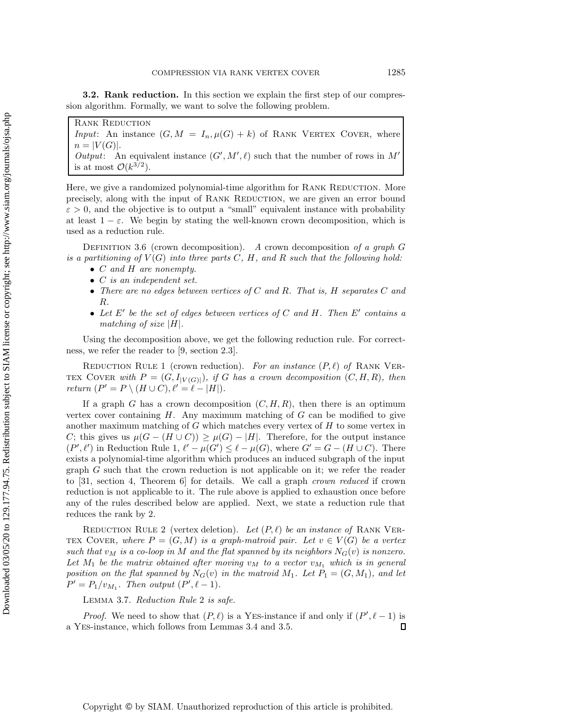<span id="page-8-0"></span>**3.2. Rank reduction.** In this section we explain the first step of our compression algorithm. Formally, we want to solve the following problem.

Rank Reduction *Input*: An instance  $(G, M = I_n, \mu(G) + k)$  of RANK VERTEX COVER, where  $n = |V(G)|$ . *Output*: An equivalent instance  $(G', M', \ell)$  such that the number of rows in  $M'$  is at most  $\mathcal{O}(k^{3/2})$ is at most  $\mathcal{O}(k^{3/2})$ .

Here, we give a randomized polynomial-time algorithm for RANK REDUCTION. More precisely, along with the input of RANK REDUCTION, we are given an error bound  $\varepsilon > 0$ , and the objective is to output a "small" equivalent instance with probability at least  $1 - \varepsilon$ . We begin by stating the well-known crown decomposition, which is used as a reduction rule.

Definition 3.6 (crown decomposition). *<sup>A</sup>* crown decomposition *of a graph* G *is a partitioning of*  $V(G)$  *into three parts*  $C, H$ *, and*  $R$  *such that the following hold:* 

- C *and* H *are nonempty.*
- C *is an independent set.*
- *There are no edges between vertices of* C *and* R*. That is,* H *separates* C *and* R*.*
- Let  $E'$  be the set of edges between vertices of C and H. Then  $E'$  contains a *matching of size* <sup>|</sup>H|*.*

<span id="page-8-1"></span>Using the decomposition above, we get the following reduction rule. For correctness, we refer the reader to [\[9,](#page-18-0) section 2.3].

REDUCTION RULE 1 (crown reduction). For an instance  $(P, \ell)$  of RANK VER-TEX COVER with  $P = (G, I_{|V(G)|})$ *, if* G has a crown decomposition  $(C, H, R)$ *, then return*  $(P' = P \setminus (H \cup C), \ell' = \ell - |H|)$ *.* 

If a graph G has a crown decomposition  $(C, H, R)$ , then there is an optimum vertex cover containing  $H$ . Any maximum matching of  $G$  can be modified to give another maximum matching of  $G$  which matches every vertex of  $H$  to some vertex in C; this gives us  $\mu(G - (H \cup C)) \geq \mu(G) - |H|$ . Therefore, for the output instance  $(P', \ell')$  in Reduction Rule [1,](#page-8-1)  $\ell' - \mu(G') \leq \ell - \mu(G)$ , where  $G' = G - (H \cup C)$ . There exists a polynomial-time algorithm which produces an induced subgraph of the input graph G such that the crown reduction is not applicable on it; we refer the reader to [\[31,](#page-19-18) section 4, Theorem 6] for details. We call a graph *crown reduced* if crown reduction is not applicable to it. The rule above is applied to exhaustion once before any of the rules described below are applied. Next, we state a reduction rule that reduces the rank by 2.

<span id="page-8-2"></span>REDUCTION RULE 2 (vertex deletion). Let  $(P, \ell)$  be an instance of RANK VER-TEX COVER, where  $P = (G, M)$  is a graph-matroid pair. Let  $v \in V(G)$  be a vertex such that  $v_M$  *is a co-loop in* M and the flat spanned by *its neighbors*  $N_G(v)$  *is nonzero.* Let  $M_1$  be the matrix obtained after moving  $v_M$  to a vector  $v_{M_1}$  which is in general *position on the flat spanned by*  $N_G(v)$  *in the matroid*  $M_1$ *. Let*  $P_1 = (G, M_1)$ *, and let*  $P' = P_1/v_{M_1}$ . Then output  $(P', \ell - 1)$ .

Lemma 3.7. *Reduction Rule* [2](#page-8-2) *is safe.*

*Proof.* We need to show that  $(P, \ell)$  is a YES-instance if and only if  $(P', \ell - 1)$  is  $\mathbb{F}$ S-instance which follows from Lemmas 3.4 and 3.5 a Yes-instance, which follows from Lemmas [3.4](#page-6-1) and [3.5.](#page-7-0)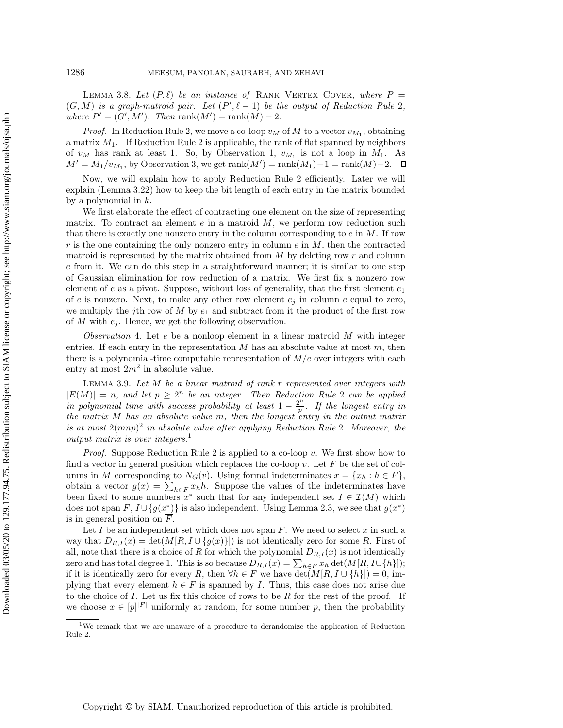<span id="page-9-3"></span>LEMMA 3.8. Let  $(P, \ell)$  be an instance of RANK VERTEX COVER, where  $P =$  $(G, M)$  is a graph-matroid pair. Let  $(P', \ell - 1)$  be the output of Reduction Rule [2](#page-8-2), where  $P' - (C', M')$  Then rank $(M')$  - rank $(M)$  - 2 *where*  $P' = (G', M')$ . Then  $\text{rank}(M') = \text{rank}(M) - 2$ .

*Proof.* In Reduction Rule [2,](#page-8-2) we move a co-loop  $v_M$  of M to a vector  $v_{M_1}$ , obtaining a matrix  $M_1$ . If Reduction Rule [2](#page-8-2) is applicable, the rank of flat spanned by neighbors of  $v_M$  has rank at least 1. So, by Observation [1,](#page-4-2)  $v_{M_1}$  is not a loop in  $M_1$ . As  $M' = M_1/v_{M_1}$ , by Observation [3,](#page-4-3) we get  $\text{rank}(M') = \text{rank}(M_1) - 1 = \text{rank}(M) - 2$ .

Now, we will explain how to apply Reduction Rule [2](#page-8-2) efficiently. Later we will explain (Lemma [3.22\)](#page-14-0) how to keep the bit length of each entry in the matrix bounded by a polynomial in  $k$ .

We first elaborate the effect of contracting one element on the size of representing matrix. To contract an element  $e$  in a matroid  $M$ , we perform row reduction such that there is exactly one nonzero entry in the column corresponding to  $e$  in  $M$ . If row r is the one containing the only nonzero entry in column  $e$  in  $M$ , then the contracted matroid is represented by the matrix obtained from  $M$  by deleting row  $r$  and column e from it. We can do this step in a straightforward manner; it is similar to one step of Gaussian elimination for row reduction of a matrix. We first fix a nonzero row element of e as a pivot. Suppose, without loss of generality, that the first element  $e_1$ of e is nonzero. Next, to make any other row element  $e_j$  in column e equal to zero, we multiply the jth row of  $M$  by  $e_1$  and subtract from it the product of the first row of M with  $e_i$ . Hence, we get the following observation.

<span id="page-9-1"></span>*Observation* 4. Let e be a nonloop element in a linear matroid M with integer entries. If each entry in the representation  $M$  has an absolute value at most  $m$ , then there is a polynomial-time computable representation of  $M/e$  over integers with each entry at most  $2m^2$  in absolute value.

<span id="page-9-2"></span>Lemma 3.9. *Let* M *be a linear matroid of rank* r *represented over integers with*  $|E(M)| = n$ , and let  $p \geq 2^n$  $p \geq 2^n$  $p \geq 2^n$  be an integer. Then Reduction Rule 2 can be applied *in polynomial time with success probability at least*  $1 - \frac{2^n}{n}$ *. If the longest entry in the matrix* M *has an absolute value* m*, then the longest entry in the output matrix is at most* 2(mnp)<sup>2</sup> *in absolute value after applying Reduction Rule* [2](#page-8-2)*. Moreover, the output matrix is over integers[.](#page-9-0)*1

*Proof.* Suppose Reduction Rule [2](#page-8-2) is applied to a co-loop v. We first show how to find a vector in general position which replaces the co-loop  $v$ . Let  $F$  be the set of columns in M corresponding to  $N_G(v)$ . Using formal indeterminates  $x = \{x_h : h \in F\}$ , obtain a vector  $g(x) = \sum_{h \in F} x_h h$ . Suppose the values of the indeterminates have<br>been fixed to some numbers  $x^*$  such that for any independent set  $I \in \mathcal{T}(M)$  which been fixed to some numbers  $x^*$  such that for any independent set  $I \in \mathcal{I}(M)$  which does not span F,  $I \cup \{g(x^*)\}$  is also independent. Using Lemma [2.3,](#page-4-4) we see that  $g(x^*)$ is in general position on F.

Let I be an independent set which does not span  $F$ . We need to select x in such a way that  $D_{R,I}(x) = \det(M[R, I \cup \{g(x)\}])$  is not identically zero for some R. First of all, note that there is a choice of R for which the polynomial  $D_{R,I}(x)$  is not identically zero and has total degree 1. This is so because  $D_{R,I}(x) = \sum_{h \in F} x_h \det(M[R, I \cup \{h\}])$ ;<br>if it is identically zero for every R, then  $\forall h \in F$  we have det $(M[R, I \cup \{h\}]) = 0$  imif it is identically zero for every R, then  $\forall h \in F$  we have  $\det(M[R, I \cup \{h\}]) = 0$ , implying that every element  $h \in F$  is spanned by I. Thus, this case does not arise due to the choice of  $I$ . Let us fix this choice of rows to be  $R$  for the rest of the proof. If we choose  $x \in [p]^{|F|}$  uniformly at random, for some number p, then the probability

<span id="page-9-0"></span><sup>1</sup>We remark that we are unaware of a procedure to derandomize the application of Reduction Rule [2.](#page-8-2)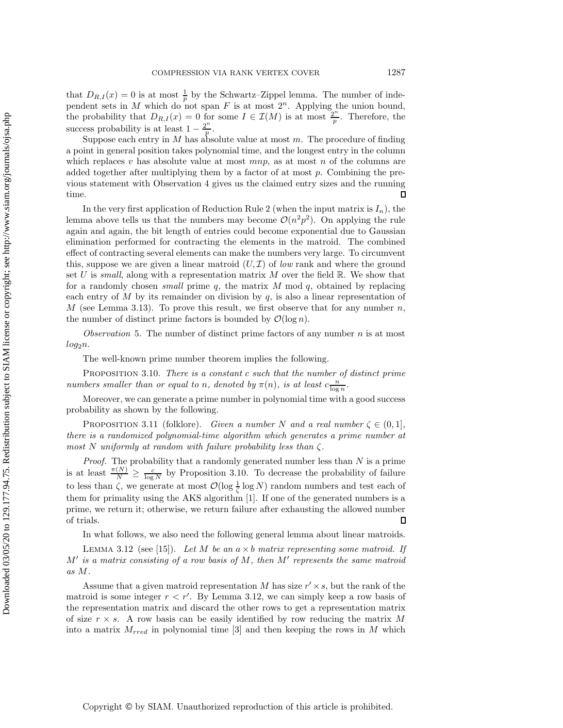that  $D_{R,I}(x) = 0$  is at most  $\frac{1}{p}$  by the Schwartz–Zippel lemma. The number of inde-<br>pendent sets in M which do not span E is at most  $2^n$ . Applying the union bound pendent sets in M which do not span F is at most  $2^n$ . Applying the union bound, the probability that  $D_{R,I}(x) = 0$  for some  $I \in \mathcal{I}(M)$  is at most  $\frac{2^n}{p}$ . Therefore, the success probability is at least  $1 - \frac{2^n}{n}$ .

Suppose each entry in  $M$  has absolute value at most  $m$ . The procedure of finding a point in general position takes polynomial time, and the longest entry in the column which replaces v has absolute value at most  $mnp$ , as at most n of the columns are added together after multiplying them by a factor of at most  $p$ . Combining the previous statement with Observation [4](#page-9-1) gives us the claimed entry sizes and the running time.  $\Box$ 

In the very first application of Reduction Rule [2](#page-8-2) (when the input matrix is  $I_n$ ), the lemma above tells us that the numbers may become  $\mathcal{O}(n^2p^2)$ . On applying the rule again and again, the bit length of entries could become exponential due to Gaussian elimination performed for contracting the elements in the matroid. The combined effect of contracting several elements can make the numbers very large. To circumvent this, suppose we are given a linear matroid  $(U, \mathcal{I})$  of *low* rank and where the ground set U is *small*, along with a representation matrix  $M$  over the field  $\mathbb{R}$ . We show that for a randomly chosen *small* prime q, the matrix M mod q, obtained by replacing each entry of  $M$  by its remainder on division by  $q$ , is also a linear representation of  $M$  (see Lemma [3.13\)](#page-11-0). To prove this result, we first observe that for any number  $n$ , the number of distinct prime factors is bounded by  $\mathcal{O}(\log n)$ .

<span id="page-10-2"></span>*Observation* 5. The number of distinct prime factors of any number n is at most  $log_2 n$ .

The well-known prime number theorem implies the following.

<span id="page-10-0"></span>Proposition 3.10. *There is a constant* c *such that the number of distinct prime numbers smaller than or equal to n*, denoted by  $\pi(n)$ , is at least  $c \frac{n}{\log n}$ .

<span id="page-10-3"></span>Moreover, we can generate a prime number in polynomial time with a good success probability as shown by the following.

PROPOSITION 3.11 (folklore). *Given a number* N *and a real number*  $\zeta \in (0,1]$ , *there is a randomized polynomial-time algorithm which generates a prime number at most N uniformly at random with failure probability less than*  $\zeta$ .<br>*Proof.* The probability that a randomly generated number less than  $N$  is a prime

*Proof.* The probability that a randomly generated number less than N is a prime<br>is at least  $\frac{\pi(N)}{N} \geq \frac{c}{\log N}$  by Proposition [3.10.](#page-10-0) To decrease the probability of failure<br>to least here is no month at most  $\mathcal{O}(\log^$ to less than  $\zeta$ , we generate at most  $\mathcal{O}(\log \frac{1}{\zeta} \log N)$  random numbers and test each of<br>them for primality using the AKS algorithm [1]. If and of the generated numbers is a them for primality using the AKS algorithm [\[1\]](#page-18-7). If one of the generated numbers is a prime, we return it; otherwise, we return failure after exhausting the allowed number of trials.  $\Box$ 

In what follows, we also need the following general lemma about linear matroids.

<span id="page-10-1"></span>Lemma 3.12 (see [\[15\]](#page-19-16)). *Let* M *be an* a <sup>×</sup> b *matrix representing some matroid. If* <sup>M</sup> *is a matrix consisting of a row basis of* M*, then* M *represents the same matroid as* M*.*

Assume that a given matroid representation M has size  $r' \times s$ , but the rank of the matroid is some integer  $r < r'$ . By Lemma [3.12,](#page-10-1) we can simply keep a row basis of the representation matrix and discard the other rows to get a representation matrix the representation matrix and discard the other rows to get a representation matrix of size  $r \times s$ . A row basis can be easily identified by row reducing the matrix M into a matrix  $M_{rred}$  in polynomial time [\[3\]](#page-18-8) and then keeping the rows in M which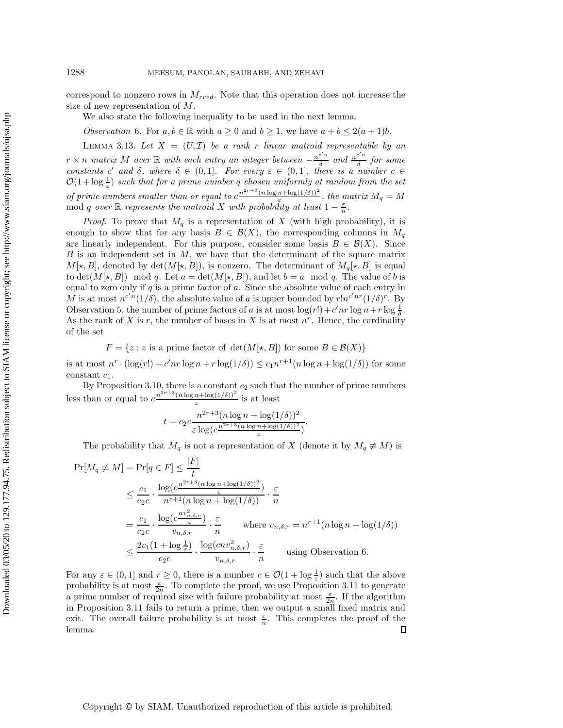correspond to nonzero rows in  $M_{rred}$ . Note that this operation does not increase the size of new representation of M.

<span id="page-11-1"></span>We also state the following inequality to be used in the next lemma.

*Observation* 6. For  $a, b \in \mathbb{R}$  with  $a \ge 0$  and  $b \ge 1$ , we have  $a + b \le 2(a + 1)b$ .

<span id="page-11-0"></span>LEMMA 3.13. Let  $X = (U, \mathcal{I})$  be a rank r linear matroid representable by an  $r \times n$  matrix M over R with each entry an integer between  $-\frac{n^{c'n}}{\delta}$  and  $\frac{n^{c'n}}{\delta}$  for some<br>constants c' and  $\delta$  where  $\delta \in (0, 1]$ . For every  $\epsilon \in (0, 1]$  there is a number c ∈ *constants* c' and  $\delta$ , where  $\delta \in (0,1]$ . For every  $\varepsilon \in (0,1]$ , there is a number  $c \in \mathcal{O}(1 + \log 1)$  such that for a prime number a chosen uniformly at random from the set  $\mathcal{O}(1 + \log \frac{1}{\varepsilon})$  *such that for a prime number q chosen uniformly at random from the set of prime numbers smaller than or equal to*  $c^{\frac{n^{2r+3}(n \log n + \log(1/\delta))^2}{\varepsilon}}$ , *the matrix*  $M_q = M$ <br>mod *a* over  $\mathbb{R}$  represents the matroid *X* with probability at least  $1 - \frac{\varepsilon}{\varepsilon}$ mod q *over* R *represents the matroid* X *with probability at least*  $1 - \frac{\varepsilon}{n}$ .

*Proof.* To prove that  $M_q$  is a representation of X (with high probability), it is enough to show that for any basis  $B \in \mathcal{B}(X)$ , the corresponding columns in  $M_q$ are linearly independent. For this purpose, consider some basis  $B \in \mathcal{B}(X)$ . Since  $B$  is an independent set in  $M$ , we have that the determinant of the square matrix  $M[\star, B]$ , denoted by  $\det(M[\star, B])$ , is nonzero. The determinant of  $M_q[\star, B]$  is equal to det( $M[\star, B]$ ) mod q. Let  $a = \det(M[\star, B])$ , and let  $b = a \mod q$ . The value of b is equal to zero only if  $q$  is a prime factor of  $a$ . Since the absolute value of each entry in M is at most  $n^{c'n}(1/\delta)$ , the absolute value of a is upper bounded by  $r!n^{c'nr}(1/\delta)^r$ . By<br>Observation 5, the number of prime factors of a is at most  $\log(r!) + c'nr \log n + r \log \frac{1}{r}$ Observation [5,](#page-10-2) the number of prime factors of a is at most  $\log(r!) + c'nr \log n + r \log \frac{1}{\delta}$ . As the rank of X is r, the number of bases in X is at most  $n<sup>r</sup>$ . Hence, the cardinality of the set

$$
F = \{ z : z \text{ is a prime factor of } \det(M[\star, B]) \text{ for some } B \in \mathcal{B}(X) \}
$$

is at most  $n^r \cdot (\log(r!) + c'nr \log n + r \log(1/\delta)) \le c_1 n^{r+1}(n \log n + \log(1/\delta))$  for some constant  $c_i$ constant  $c_1$ .

By Proposition [3.10,](#page-10-0) there is a constant  $c_2$  such that the number of prime numbers less than or equal to  $c^{\frac{n^{2r+3}(n\log n + \log(1/\delta))^2}{\varepsilon}}$  is at least

$$
t = c_2 c \frac{n^{2r+3} (n \log n + \log(1/\delta))^2}{\varepsilon \log(c \frac{n^{2r+3} (n \log n + \log(1/\delta))^2}{\varepsilon})}
$$

The probability that  $M_q$  is not a representation of X (denote it by  $M_q \not\equiv M$ ) is

$$
\Pr[M_q \neq M] = \Pr[q \in F] \leq \frac{|F|}{t}
$$
\n
$$
\leq \frac{c_1}{c_2 c} \cdot \frac{\log(c^{\frac{n^{2r+3}(n \log n + \log(1/\delta))^2}{\varepsilon}})}{n^{r+1}(n \log n + \log(1/\delta))} \cdot \frac{\varepsilon}{n}
$$
\n
$$
= \frac{c_1}{c_2 c} \cdot \frac{\log(c^{\frac{n v_{n,\delta,r}^2}{\varepsilon}})}{v_{n,\delta,r}} \cdot \frac{\varepsilon}{n} \quad \text{where } v_{n,\delta,r} = n^{r+1}(n \log n + \log(1/\delta))
$$
\n
$$
\leq \frac{2c_1(1 + \log \frac{1}{\varepsilon})}{c_2 c} \cdot \frac{\log(c n v_{n,\delta,r}^2)}{v_{n,\delta,r}} \cdot \frac{\varepsilon}{n} \quad \text{using observation 6.}
$$

For any  $\varepsilon \in (0,1]$  and  $r \geq 0$ , there is a number  $c \in \mathcal{O}(1 + \log \frac{1}{\varepsilon})$  such that the above<br>probability is at most  $\xi$ . To complete the proof, we use Proposition 3.11 to generate probability is at most  $\frac{\varepsilon}{2n}$ . To complete the proof, we use Proposition [3.11](#page-10-3) to generate a prime number of required size with failure probability at most  $\frac{\varepsilon}{2n}$ . If the algorithm<br>in Proposition 3.11 fails to return a prime, then we output a small fixed matrix and in Proposition [3.11](#page-10-3) fails to return a prime, then we output a small fixed matrix and exit. The overall failure probability is at most  $\frac{\varepsilon}{n}$ . This completes the proof of the lemma.  $\Box$ 

Copyright © by SIAM. Unauthorized reproduction of this article is prohibited.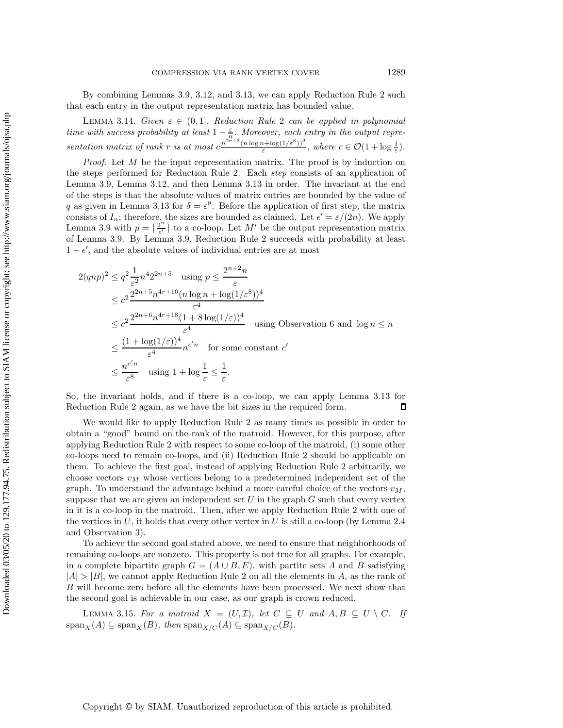<span id="page-12-1"></span>By combining Lemmas [3.9,](#page-9-2) [3.12,](#page-10-1) and [3.13,](#page-11-0) we can apply Reduction Rule [2](#page-8-2) such that each entry in the output representation matrix has bounded value.

LEMMA 3.14. *Given*  $\varepsilon \in (0,1]$ *, Reduction Rule* [2](#page-8-2) *can be applied in polynomial time with success probability at least*  $1 - \frac{\varepsilon}{n}$ *. Moreover, each entry in the output repre*sentation matrix of rank r is at most  $c^{\frac{n^{2r+3}(n \log n + \log(1/\varepsilon^8))^2}{\varepsilon}}$ , where  $c \in \mathcal{O}(1 + \log \frac{1}{\varepsilon})$ .

*Proof.* Let M be the input representation matrix. The proof is by induction on the steps performed for Reduction Rule [2.](#page-8-2) Each *step* consists of an application of Lemma [3.9,](#page-9-2) Lemma [3.12,](#page-10-1) and then Lemma [3.13](#page-11-0) in order. The invariant at the end of the steps is that the absolute values of matrix entries are bounded by the value of q as given in Lemma [3.13](#page-11-0) for  $\delta = \varepsilon^8$ . Before the application of first step, the matrix consists of  $I_n$ ; therefore, the sizes are bounded as claimed. Let  $\epsilon' = \epsilon/(2n)$ . We apply<br>Lemma 3.9 with  $n - \lceil 2^n \rceil$  to a co-loop. Let M' be the output representation matrix Lemma [3.9](#page-9-2) with  $p = \left[\frac{2^n}{\epsilon}\right]$  to a co-loop. Let M' be the output representation matrix<br>of Lemma 3.9. By Lemma 3.9. Beduction Bule 2 succeeds with probability at least of Lemma [3.9.](#page-9-2) By Lemma [3.9,](#page-9-2) Reduction Rule [2](#page-8-2) succeeds with probability at least  $1 - \epsilon'$ , and the absolute values of individual entries are at most

$$
2(qnp)^2 \le q^2 \frac{1}{\varepsilon^2} n^4 2^{2n+5} \quad \text{using } p \le \frac{2^{n+2}n}{\varepsilon}
$$
  
\n
$$
\le c^2 \frac{2^{2n+5}n^{4r+10}(n\log n + \log(1/\varepsilon^8))^4}{\varepsilon^4}
$$
  
\n
$$
\le c^2 \frac{2^{2n+6}n^{4r+18}(1+8\log(1/\varepsilon))^4}{\varepsilon^4} \quad \text{using Observation 6 and } \log n \le n
$$
  
\n
$$
\le \frac{(1+\log(1/\varepsilon))^4}{\varepsilon^4} n^{c'n} \quad \text{for some constant } c'
$$
  
\n
$$
\le \frac{n^{c'n}}{\varepsilon^8} \quad \text{using } 1 + \log \frac{1}{\varepsilon} \le \frac{1}{\varepsilon}.
$$

So, the invariant holds, and if there is a co-loop, we can apply Lemma [3.13](#page-11-0) for Reduction Rule [2](#page-8-2) again, as we have the bit sizes in the required form. П

We would like to apply Reduction Rule [2](#page-8-2) as many times as possible in order to obtain a "good" bound on the rank of the matroid. However, for this purpose, after applying Reduction Rule [2](#page-8-2) with respect to some co-loop of the matroid, (i) some other co-loops need to remain co-loops, and (ii) Reduction Rule [2](#page-8-2) should be applicable on them. To achieve the first goal, instead of applying Reduction Rule [2](#page-8-2) arbitrarily, we choose vectors  $v_M$  whose vertices belong to a predetermined independent set of the graph. To understand the advantage behind a more careful choice of the vectors  $v_M$ , suppose that we are given an independent set  $U$  in the graph  $G$  such that every vertex in it is a co-loop in the matroid. Then, after we apply Reduction Rule [2](#page-8-2) with one of the vertices in  $U$ , it holds that every other vertex in  $U$  is still a co-loop (by Lemma [2.4](#page-4-1) and Observation [3\)](#page-4-3).

To achieve the second goal stated above, we need to ensure that neighborhoods of remaining co-loops are nonzero. This property is not true for all graphs. For example, in a complete bipartite graph  $G = (A \cup B, E)$ , with partite sets A and B satisfying  $|A| > |B|$ , we cannot apply Reduction Rule [2](#page-8-2) on all the elements in A, as the rank of B will become zero before all the elements have been processed. We next show that the second goal is achievable in our case, as our graph is crown reduced.

<span id="page-12-0"></span>LEMMA 3.15. For a matroid  $X = (U, \mathcal{I})$ , let  $C \subseteq U$  and  $A, B \subseteq U \setminus C$ . If  $\operatorname{span}_X(A) \subseteq \operatorname{span}_X(B)$ , then  $\operatorname{span}_{X/C}(A) \subseteq \operatorname{span}_{X/C}(B)$ .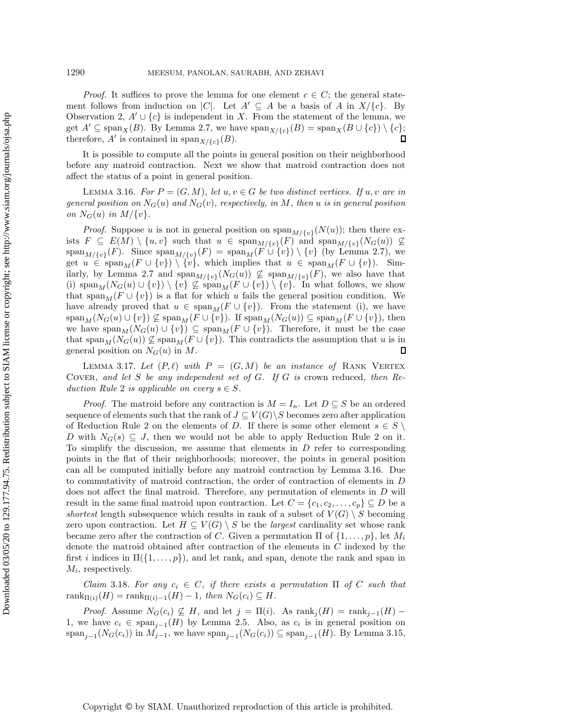*Proof.* It suffices to prove the lemma for one element  $c \in C$ ; the general statement follows from induction on |C|. Let  $A' \subseteq A$  be a basis of A in  $X/\{c\}$ . By Observation [2,](#page-4-0)  $A' \cup \{c\}$  is independent in X. From the statement of the lemma, we get  $A' \subseteq \text{span}_X(B)$ . By Lemma [2.7,](#page-5-1) we have  $\text{span}_{X/\{c\}}(B) = \text{span}_X(B \cup \{c\}) \setminus \{c\};$ <br>therefore. A' is contained in  $\text{span}_{X/(A)}(B)$ . therefore, A' is contained in span<sub> $X/{\{\epsilon\}}(B)$ </sub>.

It is possible to compute all the points in general position on their neighborhood before any matroid contraction. Next we show that matroid contraction does not affect the status of a point in general position.

<span id="page-13-0"></span>LEMMA 3.16. *For*  $P = (G, M)$ *, let*  $u, v \in G$  *be two distinct vertices. If*  $u, v$  *are in general position on*  $N_G(u)$  *and*  $N_G(v)$ *, respectively, in* M, then u *is in general position on*  $N_G(u)$  *in*  $M/{\{v\}}$ *.* 

*Proof.* Suppose u is not in general position on  $\text{span}_{M/\{v\}}(N(u))$ ; then there exists  $F \subseteq E(M) \setminus \{u, v\}$  such that  $u \in \text{span}_{M/\{v\}}(F)$  and  $\text{span}_{M/\{v\}}(N_G(u)) \not\subseteq$ <br>span  $\ldots$  (F) Since span  $\ldots$  (F) = span (F)  $\downarrow$  full  $\downarrow$  (by Lemma 2.7) we  $\operatorname{span}_{M/\{v\}}(F)$ . Since  $\operatorname{span}_{M/\{v\}}(F) = \operatorname{span}_M(F \cup \{v\}) \setminus \{v\}$  (by Lemma [2.7\)](#page-5-1), we<br>get  $u \in \operatorname{span}_{M}(F \cup \{v\}) \setminus \{v\}$  which implies that  $u \in \operatorname{span}_{M}(F \cup \{v\})$ . Simget  $u \in \text{span}_M(F \cup \{v\}) \setminus \{v\},\$  which implies that  $u \in \text{span}_M(F \cup \{v\})$ . Sim-ilarly, by Lemma [2.7](#page-5-1) and  $\text{span}_{M/\{v\}}(N_G(u)) \not\subseteq \text{span}_{M/\{v\}}(F)$ , we also have that (i)  $\text{span}_M(N_G(u) \cup \{v\}) \setminus \{v\} \nsubseteq \text{span}_M(F \cup \{v\}) \setminus \{v\}$ . In what follows, we show that span<sub>M</sub> ( $F \cup \{v\}$ ) is a flat for which u fails the general position condition. We have already proved that  $u \in \text{span}_M(F \cup \{v\})$ . From the statement (i), we have  $\text{span}_M(N_G(u) \cup \{v\}) \nsubseteq \text{span}_M(F \cup \{v\})$ . If  $\text{span}_M(N_G(u)) \subseteq \text{span}_M(F \cup \{v\})$ , then we have  $\text{span}_M(N_G(u) \cup \{v\}) \subseteq \text{span}_M(F \cup \{v\})$ . Therefore, it must be the case that span<sub>M</sub>( $N_G(u)$ )  $\nsubseteq$  span<sub>M</sub>( $F \cup \{v\}$ ). This contradicts the assumption that u is in general position on  $N_G(u)$  in M. general position on  $N_G(u)$  in M.

<span id="page-13-2"></span>LEMMA 3.17. Let  $(P, \ell)$  with  $P = (G, M)$  be an instance of RANK VERTEX Cover*, and let* S *be any independent set of* G*. If* G *is* crown reduced*, then Reduction Rule* [2](#page-8-2) *is applicable on every*  $s \in S$ *.* 

*Proof.* The matroid before any contraction is  $M = I_n$ . Let  $D \subseteq S$  be an ordered sequence of elements such that the rank of  $J \subseteq V(G) \backslash S$  becomes zero after application of Reduction Rule [2](#page-8-2) on the elements of D. If there is some other element  $s \in S \setminus$ D with  $N_G(s) \subseteq J$ , then we would not be able to apply Reduction Rule [2](#page-8-2) on it. To simplify the discussion, we assume that elements in D refer to corresponding points in the flat of their neighborhoods; moreover, the points in general position can all be computed initially before any matroid contraction by Lemma [3.16.](#page-13-0) Due to commutativity of matroid contraction, the order of contraction of elements in D does not affect the final matroid. Therefore, any permutation of elements in D will result in the same final matroid upon contraction. Let  $C = \{c_1, c_2, \ldots, c_p\} \subseteq D$  be a *shortest* length subsequence which results in rank of a subset of  $V(G) \setminus S$  becoming zero upon contraction. Let  $H \subseteq V(G) \setminus S$  be the *largest* cardinality set whose rank became zero after the contraction of C. Given a permutation  $\Pi$  of  $\{1,\ldots,p\}$ , let  $M_i$ denote the matroid obtained after contraction of the elements in C indexed by the first i indices in  $\Pi({1,\ldots,p})$ , and let rank<sub>i</sub> and span<sub>i</sub> denote the rank and span in  $M_i$ , respectively.

<span id="page-13-1"></span>*Claim* 3.18. For any  $c_i \in C$ , if there exists a permutation  $\Pi$  of C such that  $rank_{\Pi(i)}(H) = rank_{\Pi(i)-1}(H) - 1$ *, then*  $N_G(c_i) \subseteq H$ *.* 

*Proof.* Assume  $N_G(c_i) \not\subseteq H$ , and let  $j = \Pi(i)$ . As  $\text{rank}_j(H) = \text{rank}_{j-1}(H)$  – 1, we have  $c_i \in \text{span}_{i-1}(H)$  by Lemma [2.5.](#page-5-2) Also, as  $c_i$  is in general position on span<sub>i–1</sub>( $N_G(c_i)$ ) in  $M_{j-1}$ , we have span<sub>i–1</sub>( $N_G(c_i)$ ) ⊆ span<sub>i–1</sub>(H). By Lemma [3.15,](#page-12-0)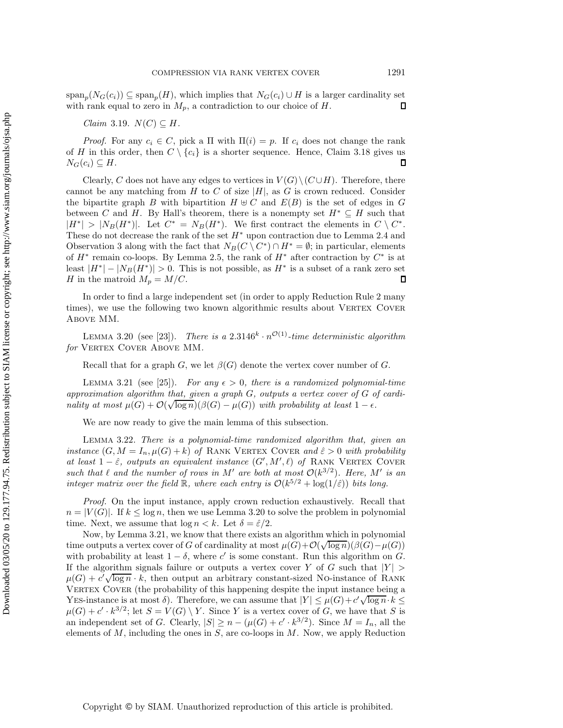span<sub>p</sub>( $N_G(c_i)$ ) ⊆ span<sub>p</sub>( $H$ ), which implies that  $N_G(c_i) \cup H$  is a larger cardinality set with rank equal to zero in  $M_n$ , a contradiction to our choice of  $H$ . with rank equal to zero in  $M_p$ , a contradiction to our choice of H.

*Claim* 3.19.  $N(C) \subseteq H$ .

*Proof.* For any  $c_i \in C$ , pick a  $\Pi$  with  $\Pi(i) = p$ . If  $c_i$  does not change the rank of H in this order, then  $C \setminus \{c_i\}$  is a shorter sequence. Hence, Claim [3.18](#page-13-1) gives us  $N_G(c_i) \subseteq H$ .  $N_G(c_i) \subseteq H$ .

Clearly, C does not have any edges to vertices in  $V(G) \setminus (C \cup H)$ . Therefore, there cannot be any matching from H to C of size  $|H|$ , as G is crown reduced. Consider the bipartite graph B with bipartition  $H \oplus C$  and  $E(B)$  is the set of edges in G between C and H. By Hall's theorem, there is a nonempty set  $H^* \subseteq H$  such that  $|H^*| > |N_B(H^*)|$ . Let  $C^* = N_B(H^*)$ . We first contract the elements in  $C \setminus C^*$ . These do not decrease the rank of the set  $H^*$  upon contraction due to Lemma [2.4](#page-4-1) and Observation [3](#page-4-3) along with the fact that  $N_B(C \setminus C^*) \cap H^* = \emptyset$ ; in particular, elements of  $H^*$  remain co-loops. By Lemma [2.5,](#page-5-2) the rank of  $H^*$  after contraction by  $C^*$  is at least  $|H^*| - |N_B(H^*)| > 0$ . This is not possible, as  $H^*$  is a subset of a rank zero set  $H$  in the matroid  $M_n = M/C$ . H in the matroid  $M_p = M/C$ .

In order to find a large independent set (in order to apply Reduction Rule [2](#page-8-2) many times), we use the following two known algorithmic results about VERTEX COVER Above MM.

<span id="page-14-1"></span>LEMMA 3.20 (see [\[23\]](#page-19-10)). *There is a* 2.3146<sup>k</sup>  $\cdot n^{\mathcal{O}(1)}$ -time deterministic algorithm for VERTEX COVER ABOVE MM.

Recall that for a graph G, we let  $\beta(G)$  denote the vertex cover number of G.

<span id="page-14-2"></span>LEMMA 3.21 (see [\[25\]](#page-19-19)). *For any*  $\epsilon > 0$ , there is a randomized polynomial-time corrination algorithm that given a graph  $G$  outputs a vertex cover of  $G$  of cardi*approximation algorithm that, given a graph* G*, outputs a vertex cover of* G *of cardiapproximation algorithm that, given a graph*  $G$ , *outputs a vertex cover of*  $G$  *o*<sub>*nality at most*  $\mu(G) + \mathcal{O}(\sqrt{\log n})(\beta(G) - \mu(G))$  with probability at least  $1 - \epsilon$ *.*</sub>

<span id="page-14-0"></span>We are now ready to give the main lemma of this subsection.

Lemma 3.22. *There is a polynomial-time randomized algorithm that, given an instance*  $(G, M = I_n, \mu(G) + k)$  *of* RANK VERTEX COVER *and*  $\hat{\varepsilon} > 0$  *with probability at least*  $1 - \hat{\varepsilon}$ *, outputs an equivalent instance*  $(G', M', \ell)$  *of* RANK VERTEX COVER<br>such that  $\ell$  and the number of rows in M' are both at most  $O(k^{3/2})$ . Here M' is an *such that*  $\ell$  *and the number of rows in*  $M'$  *are both at most*  $\mathcal{O}(k^{3/2})$ *. Here,*  $M'$  *is an integer matrix over the field* R, where each entry is  $O(k^{5/2} + \log(1/\hat{\varepsilon}))$  bits long.

*Proof.* On the input instance, apply crown reduction exhaustively. Recall that  $n = |V(G)|$ . If  $k \leq \log n$ , then we use Lemma [3.20](#page-14-1) to solve the problem in polynomial time. Next, we assume that  $\log n < k$ . Let  $\delta = \hat{\varepsilon}/2$ .

Now, by Lemma [3.21,](#page-14-2) we know that there exists an algorithm which in polynomial The structure outputs a vertex cover of G of cardinality at most  $\mu(G) + \mathcal{O}(\sqrt{\log n})(\beta(G) - \mu(G))$ <br>with probability at least  $1 - \delta$ , where c' is some constant. Bun this algorithm on G with probability at least  $1 - \delta$ , where c' is some constant. Run this algorithm on G. If the algorithm signals failure or outputs a vertex cover Y of G such that  $|Y| >$  $μ(G) + c' \sqrt{\log n} \cdot k$ , then output an arbitrary constant-sized No-instance of RANK<br>VERTEX COVER (the probability of this happening despite the input instance being a VERTEX COVER (the probability of this happening despite the input instance being a VERTEX COVER (the probability of this happening despite the input instance being a<br>YES-instance is at most δ). Therefore, we can assume that  $|Y| ≤ μ(G) + c' \sqrt{\log n} \cdot k ≤$ <br> $μ(G) + c' \cdot k^{3/2} \cdot \text{let } S - V(G) \setminus V$ . Since V is a vertex c  $\mu(G) + c' \cdot k^{3/2}$ ; let  $S = V(G) \setminus Y$ . Since Y is a vertex cover of G, we have that S is an independent set of G. Clearly,  $|S| \geq n - (\mu(G) + c' \cdot k^{3/2})$ . Since  $M = I_n$ , all the elements of  $M$ , including the ones in  $S$ , are co-loops in  $M$ . Now, we apply Reduction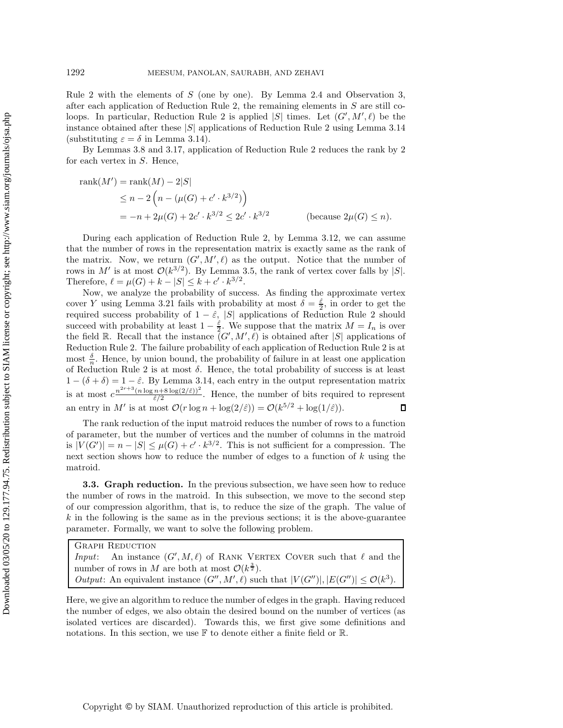Rule [2](#page-8-2) with the elements of S (one by one). By Lemma [2.4](#page-4-1) and Observation [3,](#page-4-3) after each application of Reduction Rule [2,](#page-8-2) the remaining elements in  $S$  are still co-loops. In particular, Reduction Rule [2](#page-8-2) is applied  $|S|$  times. Let  $(G', M', \ell)$  be the instance obtained after these  $|S|$  applications of Reduction Rule 2 using Lemma 3.14 instance obtained after these  $|S|$  applications of Reduction Rule [2](#page-8-2) using Lemma [3.14](#page-12-1) (substituting  $\varepsilon = \delta$  in Lemma [3.14\)](#page-12-1).

By Lemmas [3.8](#page-9-3) and [3.17,](#page-13-2) application of Reduction Rule [2](#page-8-2) reduces the rank by 2 for each vertex in  $S$ . Hence,

rank(M') = rank(M) - 2|S|  
\n
$$
\leq n - 2\left(n - (\mu(G) + c' \cdot k^{3/2})\right)
$$
  
\n $= -n + 2\mu(G) + 2c' \cdot k^{3/2} \leq 2c' \cdot k^{3/2}$  (because  $2\mu(G) \leq n$ ).

During each application of Reduction Rule [2,](#page-8-2) by Lemma [3.12,](#page-10-1) we can assume that the number of rows in the representation matrix is exactly same as the rank of the matrix. Now, we return  $(G', M', \ell)$  as the output. Notice that the number of rows in  $M'$  is at most  $\mathcal{O}(k^{3/2})$ . By Lemma 3.5, the rank of vertex cover falls by  $|S|$ . rows in M' is at most  $\mathcal{O}(k^{3/2})$ . By Lemma [3.5,](#page-7-0) the rank of vertex cover falls by |S|. Therefore,  $\ell = \mu(G) + k - |S| \leq k + c' \cdot k^{3/2}$ .

Now, we analyze the probability of success. As finding the approximate vertex cover Y using Lemma [3.21](#page-14-2) fails with probability at most  $\delta = \frac{\hat{\varepsilon}}{2}$ , in order to get the required success probability of  $1 - \hat{\varepsilon}$  [S] applications of Beduction Bule 2 should required success probability of  $1 - \hat{\varepsilon}$ , |S| applications of Reduction Rule [2](#page-8-2) should succeed with probability at least  $1 - \frac{\hat{\varepsilon}}{2}$ . We suppose that the matrix  $M = I_n$  is over<br>the field  $\mathbb{R}$ . Becall that the instance  $(G', M', \ell)$  is obtained after [S] applications of the field  $\mathbb{R}$ . Recall that the instance  $(\tilde{G}', M', \ell)$  is obtained after  $|S|$  applications of Reduction Rule 2 is at Reduction Rule [2.](#page-8-2) The failure probability of each application of Reduction Rule [2](#page-8-2) is at most  $\frac{\delta}{n}$ . Hence, by union bound, the probability of failure in at least one application of Reduction Rule [2](#page-8-2) is at most  $\delta$ . Hence, the total probability of success is at least  $1 - (\delta + \delta) = 1 - \hat{\varepsilon}$ . By Lemma 3.14, each entry in the output representation matrix  $1 - (\delta + \delta) = 1 - \hat{\varepsilon}$ . By Lemma [3.14,](#page-12-1) each entry in the output representation matrix is at most  $c \frac{n^{2r+3}(n \log n+8 \log(2/\hat{\varepsilon}))^2}{\hat{\varepsilon}/2}$ . Hence, the number of bits required to represent an entry in M' is at most  $\mathcal{O}(r \log n + \log(2/\hat{\varepsilon})) = \mathcal{O}(k^{5/2} + \log(1/\hat{\varepsilon}))$ .

The rank reduction of the input matroid reduces the number of rows to a function of parameter, but the number of vertices and the number of columns in the matroid is  $|V(G')| = n - |S| \leq \mu(G) + c' \cdot k^{3/2}$ . This is not sufficient for a compression. The next section shows how to reduce the number of edges to a function of  $k$  using the matroid.

<span id="page-15-0"></span>**3.3. Graph reduction.** In the previous subsection, we have seen how to reduce the number of rows in the matroid. In this subsection, we move to the second step of our compression algorithm, that is, to reduce the size of the graph. The value of  $k$  in the following is the same as in the previous sections; it is the above-guarantee parameter. Formally, we want to solve the following problem.

| <b>GRAPH REDUCTION</b>                                                                                          |
|-----------------------------------------------------------------------------------------------------------------|
| <i>Input:</i> An instance $(G', M, \ell)$ of RANK VERTEX COVER such that $\ell$ and the                         |
| number of rows in M are both at most $\mathcal{O}(k^{\frac{3}{2}})$ .                                           |
| <i>Output</i> : An equivalent instance $(G'', M', \ell)$ such that $ V(G'') ,  E(G'')  \leq \mathcal{O}(k^3)$ . |
|                                                                                                                 |

Here, we give an algorithm to reduce the number of edges in the graph. Having reduced the number of edges, we also obtain the desired bound on the number of vertices (as isolated vertices are discarded). Towards this, we first give some definitions and notations. In this section, we use F to denote either a finite field or R.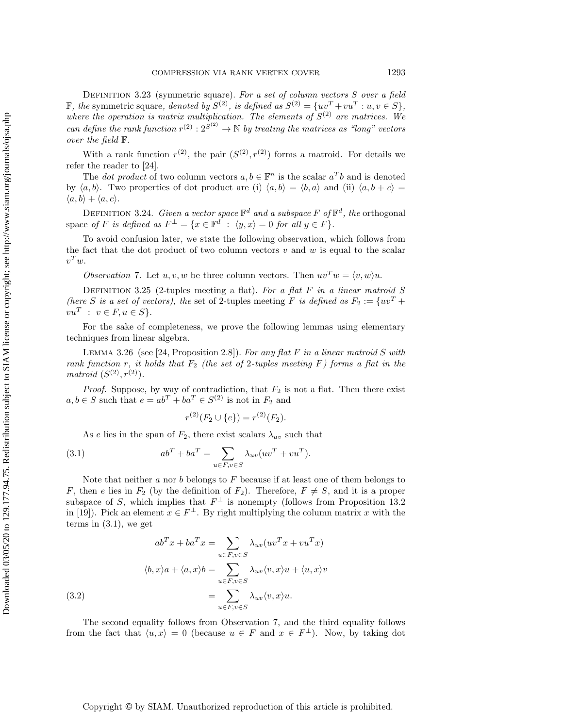Definition 3.23 (symmetric square). *For a set of column vectors* S *over a field* F, the symmetric square, denoted by  $S^{(2)}$ , is defined as  $S^{(2)} = \{uv^T + vu^T : u, v \in S\},\$ *where the operation is matrix multiplication. The elements of*  $S^{(2)}$  *are matrices. We can define the rank function*  $r^{(2)} : 2^{S^{(2)}} \to \mathbb{N}$  *by treating the matrices as "long" vectors over the field*  $\mathbb{F}$ *over the field* F*.*

With a rank function  $r^{(2)}$ , the pair  $(S^{(2)}, r^{(2)})$  forms a matroid. For details we refer the reader to [\[24\]](#page-19-15).

The *dot product* of two column vectors  $a, b \in \mathbb{F}^n$  is the scalar  $a^Tb$  and is denoted by  $\langle a, b \rangle$ . Two properties of dot product are (i)  $\langle a, b \rangle = \langle b, a \rangle$  and (ii)  $\langle a, b + c \rangle =$  $\langle a, b \rangle + \langle a, c \rangle$ .

DEFINITION 3.24. *Given a vector space*  $\mathbb{F}^d$  *and a subspace* F of  $\mathbb{F}^d$ , the orthogonal space *of* F *is defined as*  $F^{\perp} = \{x \in \mathbb{F}^d : \langle y, x \rangle = 0 \text{ for all } y \in F\}.$ 

<span id="page-16-1"></span>To avoid confusion later, we state the following observation, which follows from the fact that the dot product of two column vectors  $v$  and  $w$  is equal to the scalar  $v^T w$ .

*Observation* 7. Let  $u, v, w$  be three column vectors. Then  $uv^Tw = \langle v, w \rangle u$ .

Definition 3.25 (2-tuples meeting a flat). *For a flat* F *in a linear matroid* S *(here* S *is a set of vectors), the set of 2-tuples meeting F <i>is defined as*  $F_2 := \{uv^T +$  $vu^T : v \in F, u \in S$ .

<span id="page-16-3"></span>For the sake of completeness, we prove the following lemmas using elementary techniques from linear algebra.

Lemma 3.26 (see [\[24,](#page-19-15) Proposition 2.8]). *For any flat* F *in a linear matroid* S *with rank function* r, it holds that  $F_2$  (the set of 2-tuples meeting F) forms a flat in the *matroid*  $(S^{(2)}, r^{(2)})$ *.* 

*Proof.* Suppose, by way of contradiction, that  $F_2$  is not a flat. Then there exist  $a, b \in S$  such that  $e = ab^T + ba^T \in S^{(2)}$  is not in  $F_2$  and

$$
r^{(2)}(F_2 \cup \{e\}) = r^{(2)}(F_2).
$$

As e lies in the span of  $F_2$ , there exist scalars  $\lambda_{uv}$  such that

<span id="page-16-0"></span>(3.1) 
$$
ab^{T} + ba^{T} = \sum_{u \in F, v \in S} \lambda_{uv} (uv^{T} + vu^{T}).
$$

Note that neither a nor b belongs to  $F$  because if at least one of them belongs to F, then e lies in  $F_2$  (by the definition of  $F_2$ ). Therefore,  $F \neq S$ , and it is a proper subspace of S, which implies that  $F^{\perp}$  is nonempty (follows from Proposition 13.2 in [\[19\]](#page-19-20)). Pick an element  $x \in F^{\perp}$ . By right multiplying the column matrix x with the terms in [\(3.1\)](#page-16-0), we get

(3.2)  
\n
$$
ab^{T}x + ba^{T}x = \sum_{u \in F, v \in S} \lambda_{uv}(uv^{T}x + vu^{T}x)
$$
\n
$$
\langle b, x \rangle a + \langle a, x \rangle b = \sum_{u \in F, v \in S} \lambda_{uv} \langle v, x \rangle u + \langle u, x \rangle v
$$
\n
$$
= \sum_{u \in F, v \in S} \lambda_{uv} \langle v, x \rangle u.
$$

<span id="page-16-2"></span>The second equality follows from Observation [7,](#page-16-1) and the third equality follows from the fact that  $\langle u, x \rangle = 0$  (because  $u \in F$  and  $x \in F^{\perp}$ ). Now, by taking dot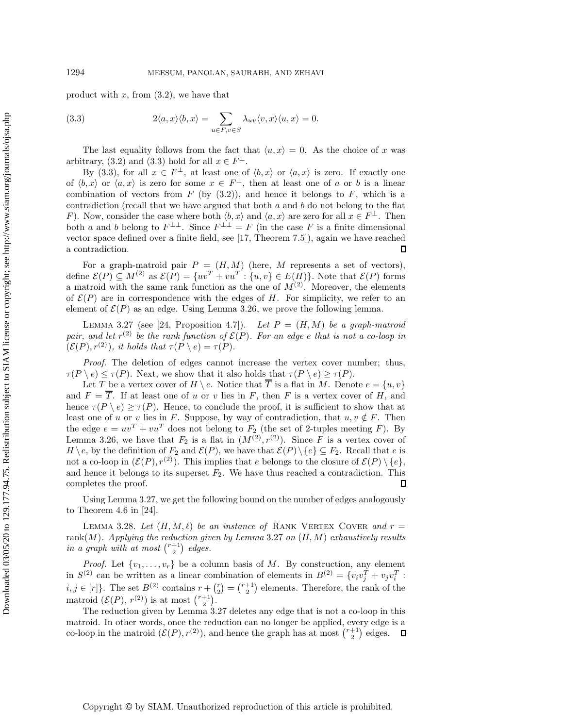product with  $x$ , from  $(3.2)$ , we have that

<span id="page-17-0"></span>(3.3) 
$$
2\langle a,x\rangle\langle b,x\rangle = \sum_{u\in F,v\in S} \lambda_{uv}\langle v,x\rangle\langle u,x\rangle = 0.
$$

The last equality follows from the fact that  $\langle u, x \rangle = 0$ . As the choice of x was arbitrary, [\(3.2\)](#page-16-2) and [\(3.3\)](#page-17-0) hold for all  $x \in F^{\perp}$ .

By [\(3.3\)](#page-17-0), for all  $x \in F^{\perp}$ , at least one of  $\langle b, x \rangle$  or  $\langle a, x \rangle$  is zero. If exactly one of  $\langle b, x \rangle$  or  $\langle a, x \rangle$  is zero for some  $x \in F^{\perp}$ , then at least one of a or b is a linear combination of vectors from  $F$  (by  $(3.2)$ ), and hence it belongs to  $F$ , which is a contradiction (recall that we have argued that both  $a$  and  $b$  do not belong to the flat F). Now, consider the case where both  $\langle b, x \rangle$  and  $\langle a, x \rangle$  are zero for all  $x \in F^{\perp}$ . Then both a and b belong to  $F^{\perp\perp}$ . Since  $F^{\perp\perp} = F$  (in the case F is a finite dimensional vector space defined over a finite field, see [\[17,](#page-19-21) Theorem 7.5]), again we have reached  $\Box$ a contradiction.

For a graph-matroid pair  $P = (H, M)$  (here, M represents a set of vectors), define  $\mathcal{E}(P) \subseteq M^{(2)}$  as  $\mathcal{E}(P) = \{uv^T + vu^T : \{u, v\} \in E(H)\}\$ . Note that  $\mathcal{E}(P)$  forms a matroid with the same rank function as the one of  $M^{(2)}$ . Moreover, the elements of  $\mathcal{E}(P)$  are in correspondence with the edges of H. For simplicity, we refer to an element of  $\mathcal{E}(P)$  as an edge. Using Lemma [3.26,](#page-16-3) we prove the following lemma.

<span id="page-17-1"></span>LEMMA 3.27 (see [\[24,](#page-19-15) Proposition 4.7]). Let  $P = (H, M)$  be a graph-matroid *pair, and let*  $r^{(2)}$  *be the rank function of*  $\mathcal{E}(P)$ *. For an edge e that is not a co-loop in*  $(\mathcal{E}(P), r^{(2)})$ *, it holds that*  $\tau(P \setminus e) = \tau(P)$ *.* 

*Proof.* The deletion of edges cannot increase the vertex cover number; thus,  $\tau(P \setminus e) \leq \tau(P)$ . Next, we show that it also holds that  $\tau(P \setminus e) \geq \tau(P)$ .

Let T be a vertex cover of  $H \setminus e$ . Notice that  $\overline{T}$  is a flat in M. Denote  $e = \{u, v\}$ and  $F = \overline{T}$ . If at least one of u or v lies in F, then F is a vertex cover of H, and hence  $\tau(P \setminus e) \geq \tau(P)$ . Hence, to conclude the proof, it is sufficient to show that at least one of u or v lies in F. Suppose, by way of contradiction, that  $u, v \notin F$ . Then the edge  $e = uv^T + vu^T$  does not belong to  $F_2$  (the set of 2-tuples meeting F). By Lemma [3.26,](#page-16-3) we have that  $F_2$  is a flat in  $(M^{(2)}, r^{(2)})$ . Since F is a vertex cover of  $H \setminus e$ , by the definition of  $F_2$  and  $\mathcal{E}(P)$ , we have that  $\mathcal{E}(P) \setminus \{e\} \subseteq F_2$ . Recall that e is not a co-loop in  $(\mathcal{E}(P), r^{(2)})$ . This implies that e belongs to the closure of  $\mathcal{E}(P) \setminus \{e\}$ , and hence it belongs to its superset  $F_2$ . We have thus reached a contradiction. This completes the proof. completes the proof.

<span id="page-17-2"></span>Using Lemma [3.27,](#page-17-1) we get the following bound on the number of edges analogously to Theorem 4.6 in [\[24\]](#page-19-15).

LEMMA 3.28. Let  $(H, M, \ell)$  be an instance of RANK VERTEX COVER and  $r =$ rank(M)*. Applying the reduction given by Lemma* [3.27](#page-17-1) *on* (H,M) *exhaustively results in a graph with at most*  $\binom{r+1}{2}$  *edges.* 

*Proof.* Let  $\{v_1, \ldots, v_r\}$  be a column basis of M. By construction, any element  $\binom{2}{2}$  can be written as a linear combination of elements in  $R^{(2)} = \{v_1, v_1^T + v_2, v_1^T\}$ . in  $S^{(2)}$  can be written as a linear combination of elements in  $B^{(2)} = \{v_i v_j^T + v_j v_i^T : i \in [n] \}$ . The set  $B^{(2)}$  contains  $v_i(r) = \binom{r+1}{r}$  elements. Therefore, the paper of the  $i, j \in [r]$ . The set  $B^{(2)}$  contains  $r + {r \choose 2} = {r+1 \choose 2}$ <br>metroid  $(S(D), r(2))$  is at most  $r+1$ matroid  $(\mathcal{E}(P), r^{(2)})$  is at most  $\binom{r+1}{2}$ .<br>The reduction given by Lemma 3.2 ) elements. Therefore, the rank of the

The reduction given by Lemma [3.27](#page-17-1) deletes any edge that is not a co-loop in this matroid. In other words, once the reduction can no longer be applied, every edge is a co-loop in the matroid  $(\mathcal{E}(P), r^{(2)})$ , and hence the graph has at most  $\binom{r+1}{2}$  edges.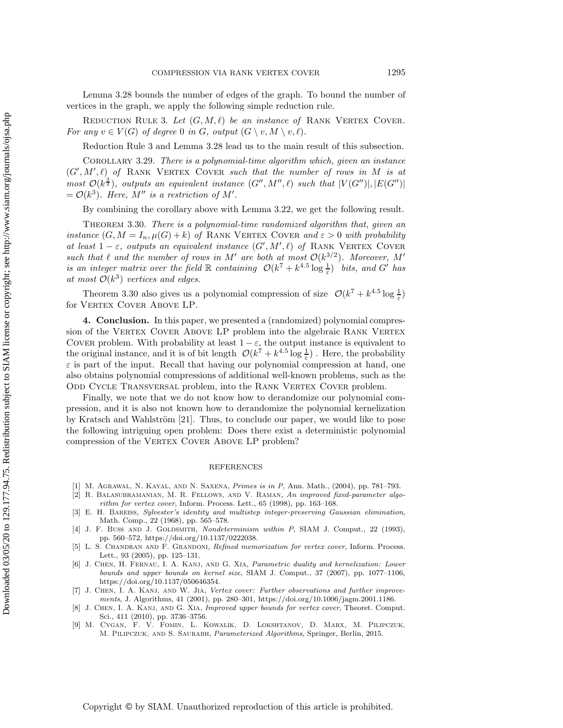<span id="page-18-9"></span>Lemma [3.28](#page-17-2) bounds the number of edges of the graph. To bound the number of vertices in the graph, we apply the following simple reduction rule.

REDUCTION RULE 3. Let  $(G, M, \ell)$  be an instance of RANK VERTEX COVER. *For any*  $v \in V(G)$  *of degree* 0 *in G, output*  $(G \setminus v, M \setminus v, \ell)$ *.* 

Reduction Rule [3](#page-18-9) and Lemma [3.28](#page-17-2) lead us to the main result of this subsection.

Corollary 3.29. *There is a polynomial-time algorithm which, given an instance*  $(G', M', \ell)$  of RANK VERTEX COVER such that the number of rows in M is at<br>meat  $G(t^2)$  extracts an equivalent instance  $(G'', M'', \ell)$  and that  $|V(G'')| + |E(G'')|$  $most \mathcal{O}(k^{\frac{3}{2}})$ , outputs an equivalent instance  $(G'', M'', \ell)$  such that  $|V(G'')|, |E(G'')|$ <br>  $= \mathcal{O}(k^3)$ . Here M'' is a restriction of M'  $= \mathcal{O}(k^3)$ *. Here,*  $M''$  *is a restriction of*  $M'$ *.* 

By combining the corollary above with Lemma [3.22,](#page-14-0) we get the following result.

<span id="page-18-10"></span>Theorem 3.30. *There is a polynomial-time randomized algorithm that, given an instance*  $(G, M = I_n, \mu(G) + k)$  *of* RANK VERTEX COVER *and*  $\varepsilon > 0$  *with probability at least*  $1 - \varepsilon$ *, outputs an equivalent instance*  $(G', M', \ell)$  *of* RANK VERTEX COVER<br>such that  $\ell$  and the number of rous in M' are both at most  $O(k^{3/2})$ . Moreover M' *such that*  $\ell$  *and the number of rows in* M' *are both at most*  $\mathcal{O}(k^{3/2})$ *. Moreover,* M' *is an integer matrix over the field*  $\mathbb R$  *containing*  $\mathcal O(k^7 + k^{4.5} \log \frac{1}{\varepsilon})$  *bits, and*  $G'$  *has at most*  $\mathcal O(k^3)$  *vertices and edges at most*  $\mathcal{O}(k^3)$  *vertices and edges.* 

Theorem [3.30](#page-18-10) also gives us a polynomial compression of size  $\mathcal{O}(k^7 + k^{4.5} \log \frac{1}{\varepsilon})$ for VERTEX COVER ABOVE LP.

**4. Conclusion.** In this paper, we presented a (randomized) polynomial compression of the VERTEX COVER ABOVE LP problem into the algebraic RANK VERTEX COVER problem. With probability at least  $1 - \varepsilon$ , the output instance is equivalent to the original instance and it is of bit length  $\mathcal{O}(k^7 + k^{4.5} \log k)$ . Here the probability the original instance, and it is of bit length  $\mathcal{O}(k^7 + k^{4.5} \log \frac{1}{\varepsilon})$ . Here, the probability  $\varepsilon$  is part of the input. Recall that having our polynomial compression at hand, one also obtains polynomial compressions of additional well-known problems, such as the ODD CYCLE TRANSVERSAL problem, into the RANK VERTEX COVER problem.

Finally, we note that we do not know how to derandomize our polynomial compression, and it is also not known how to derandomize the polynomial kernelization by Kratsch and Wahlström [\[21\]](#page-19-11). Thus, to conclude our paper, we would like to pose the following intriguing open problem: Does there exist a deterministic polynomial compression of the VERTEX COVER ABOVE LP problem?

## REFERENCES

- <span id="page-18-7"></span><span id="page-18-2"></span>[1] M. Agrawal, N. Kayal, and N. Saxena, Primes is in P, Ann. Math., (2004), pp. 781–793.
- [2] R. Balasubramanian, M. R. Fellows, and V. Raman, An improved fixed-parameter algorithm for vertex cover, Inform. Process. Lett., 65 (1998), pp. 163–168.
- <span id="page-18-8"></span>[3] E. H. Bareiss, Sylvester's identity and multistep integer-preserving Gaussian elimination, Math. Comp., 22 (1968), pp. 565–578.
- <span id="page-18-1"></span>[4] J. F. Buss AND J. GOLDSMITH, Nondeterminism within P, SIAM J. Comput., 22 (1993). pp. 560–572, [https://doi.org/10.1137/0222038.](https://doi.org/10.1137/0222038)
- <span id="page-18-4"></span>[5] L. S. Chandran and F. Grandoni, Refined memorization for vertex cover, Inform. Process. Lett., 93 (2005), pp. 125–131.
- <span id="page-18-6"></span>[6] J. Chen, H. Fernau, I. A. Kanj, and G. Xia, Parametric duality and kernelization: Lower bounds and upper bounds on kernel size, SIAM J. Comput., 37 (2007), pp. 1077–1106, [https://doi.org/10.1137/050646354.](https://doi.org/10.1137/050646354)
- <span id="page-18-3"></span>[7] J. Chen, I. A. Kanj, and W. Jia, Vertex cover: Further observations and further improvements, J. Algorithms, 41 (2001), pp. 280–301, [https://doi.org/10.1006/jagm.2001.1186.](https://doi.org/10.1006/jagm.2001.1186)
- <span id="page-18-5"></span>[8] J. CHEN, I. A. KANJ, AND G. XIA, Improved upper bounds for vertex cover, Theoret. Comput. Sci., 411 (2010), pp. 3736–3756.
- <span id="page-18-0"></span>[9] M. Cygan, F. V. Fomin, L. Kowalik, D. Lokshtanov, D. Marx, M. Pilipczuk, M. Pilipczuk, and S. Saurabh, Parameterized Algorithms, Springer, Berlin, 2015.